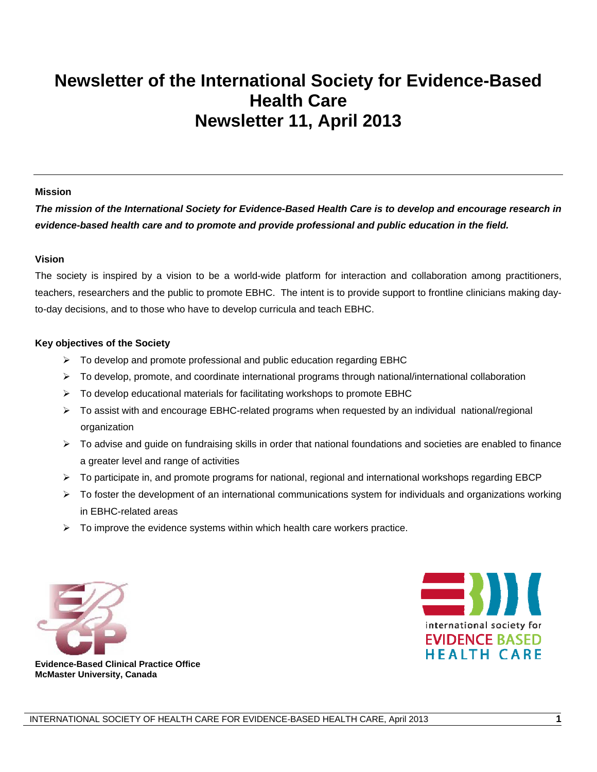# <span id="page-0-0"></span>**Newsletter of the International Society for Evidence-Based Health Care Newsletter 11, April 2013**

#### **Mission**

*The mission of the International Society for Evidence-Based Health Care is to develop and encourage research in evidence-based health care and to promote and provide professional and public education in the field.* 

#### **Vision**

The society is inspired by a vision to be a world-wide platform for interaction and collaboration among practitioners, teachers, researchers and the public to promote EBHC. The intent is to provide support to frontline clinicians making dayto-day decisions, and to those who have to develop curricula and teach EBHC.

#### **Key objectives of the Society**

- $\triangleright$  To develop and promote professional and public education regarding EBHC
- $\triangleright$  To develop, promote, and coordinate international programs through national/international collaboration
- $\triangleright$  To develop educational materials for facilitating workshops to promote EBHC
- To assist with and encourage EBHC-related programs when requested by an individual national/regional organization
- $\triangleright$  To advise and guide on fundraising skills in order that national foundations and societies are enabled to finance a greater level and range of activities
- $\triangleright$  To participate in, and promote programs for national, regional and international workshops regarding EBCP
- $\triangleright$  To foster the development of an international communications system for individuals and organizations working in EBHC-related areas
- $\triangleright$  To improve the evidence systems within which health care workers practice.





 **Evidence-Based Clinical Practice Office McMaster University, Canada**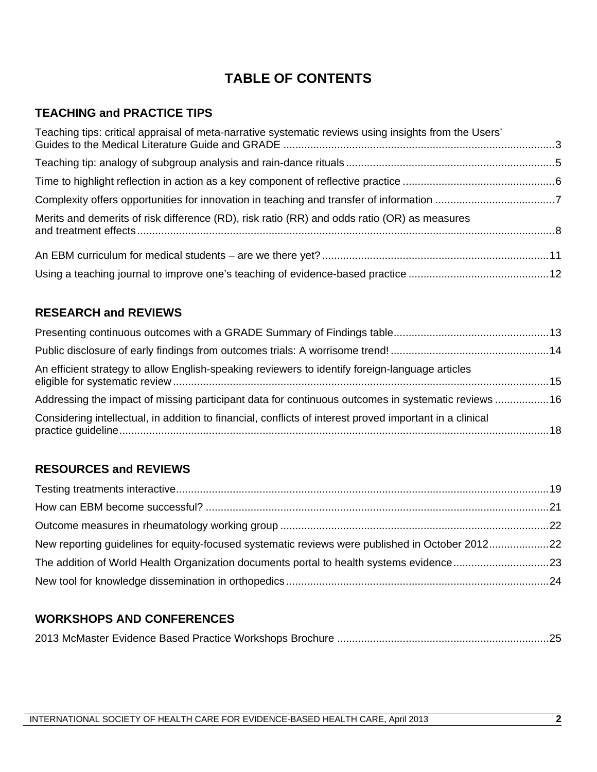# **TABLE OF CONTENTS**

# **TEACHING and PRACTICE TIPS**

| Teaching tips: critical appraisal of meta-narrative systematic reviews using insights from the Users' |  |
|-------------------------------------------------------------------------------------------------------|--|
|                                                                                                       |  |
|                                                                                                       |  |
|                                                                                                       |  |
| Merits and demerits of risk difference (RD), risk ratio (RR) and odds ratio (OR) as measures          |  |
|                                                                                                       |  |
|                                                                                                       |  |

# **RESEARCH and REVIEWS**

| An efficient strategy to allow English-speaking reviewers to identify foreign-language articles          |  |
|----------------------------------------------------------------------------------------------------------|--|
| Addressing the impact of missing participant data for continuous outcomes in systematic reviews 16       |  |
| Considering intellectual, in addition to financial, conflicts of interest proved important in a clinical |  |

# **RESOURCES and REVIEWS**

| New reporting guidelines for equity-focused systematic reviews were published in October 201222 |  |
|-------------------------------------------------------------------------------------------------|--|
| The addition of World Health Organization documents portal to health systems evidence 23        |  |
|                                                                                                 |  |

# **WORKSHOPS AND CONFERENCES**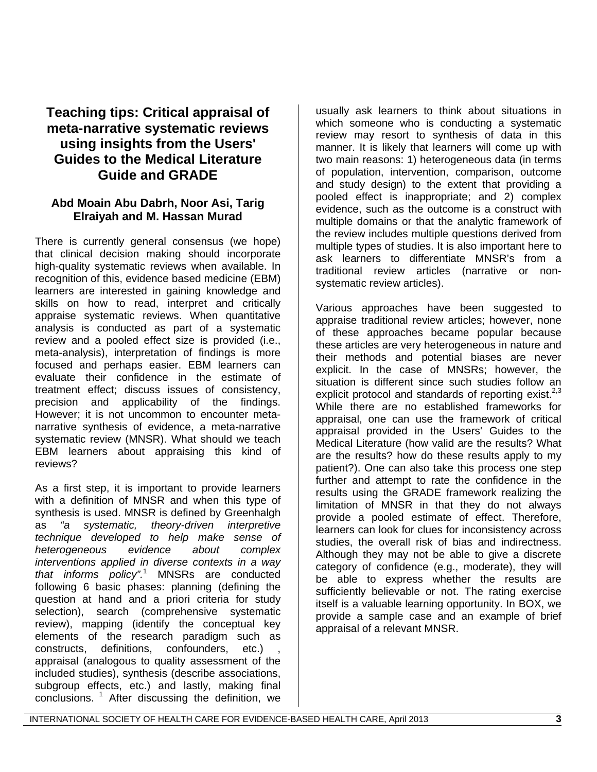# **Teaching tips: Critical appraisal of meta-narrative systematic reviews using insights from the Users' Guides to the Medical Literature Guide and GRADE**

## **Abd Moain Abu Dabrh, Noor Asi, Tarig Elraiyah and M. Hassan Murad**

There is currently general consensus (we hope) that clinical decision making should incorporate high-quality systematic reviews when available. In recognition of this, evidence based medicine (EBM) learners are interested in gaining knowledge and skills on how to read, interpret and critically appraise systematic reviews. When quantitative analysis is conducted as part of a systematic review and a pooled effect size is provided (i.e., meta-analysis), interpretation of findings is more focused and perhaps easier. EBM learners can evaluate their confidence in the estimate of treatment effect; discuss issues of consistency, precision and applicability of the findings. However; it is not uncommon to encounter metanarrative synthesis of evidence, a meta-narrative systematic review (MNSR). What should we teach EBM learners about appraising this kind of reviews?

As a first step, it is important to provide learners with a definition of MNSR and when this type of synthesis is used. MNSR is defined by Greenhalgh as *"a systematic, theory-driven interpretive technique developed to help make sense of heterogeneous evidence about complex interventions applied in diverse contexts in a way that informs policy".*<sup>1</sup> MNSRs are conducted following 6 basic phases: planning (defining the question at hand and a priori criteria for study selection), search (comprehensive systematic review), mapping (identify the conceptual key elements of the research paradigm such as constructs, definitions, confounders, etc.) appraisal (analogous to quality assessment of the included studies), synthesis (describe associations, subgroup effects, etc.) and lastly, making final conclusions. 1 After discussing the definition, we

usually ask learners to think about situations in which someone who is conducting a systematic review may resort to synthesis of data in this manner. It is likely that learners will come up with two main reasons: 1) heterogeneous data (in terms of population, intervention, comparison, outcome and study design) to the extent that providing a pooled effect is inappropriate; and 2) complex evidence, such as the outcome is a construct with multiple domains or that the analytic framework of the review includes multiple questions derived from multiple types of studies. It is also important here to ask learners to differentiate MNSR's from a traditional review articles (narrative or nonsystematic review articles).

Various approaches have been suggested to appraise traditional review articles; however, none of these approaches became popular because these articles are very heterogeneous in nature and their methods and potential biases are never explicit. In the case of MNSRs; however, the situation is different since such studies follow an explicit protocol and standards of reporting exist.<sup>2,3</sup> While there are no established frameworks for appraisal, one can use the framework of critical appraisal provided in the Users' Guides to the Medical Literature (how valid are the results? What are the results? how do these results apply to my patient?). One can also take this process one step further and attempt to rate the confidence in the results using the GRADE framework realizing the limitation of MNSR in that they do not always provide a pooled estimate of effect. Therefore, learners can look for clues for inconsistency across studies, the overall risk of bias and indirectness. Although they may not be able to give a discrete category of confidence (e.g., moderate), they will be able to express whether the results are sufficiently believable or not. The rating exercise itself is a valuable learning opportunity. In BOX, we provide a sample case and an example of brief appraisal of a relevant MNSR.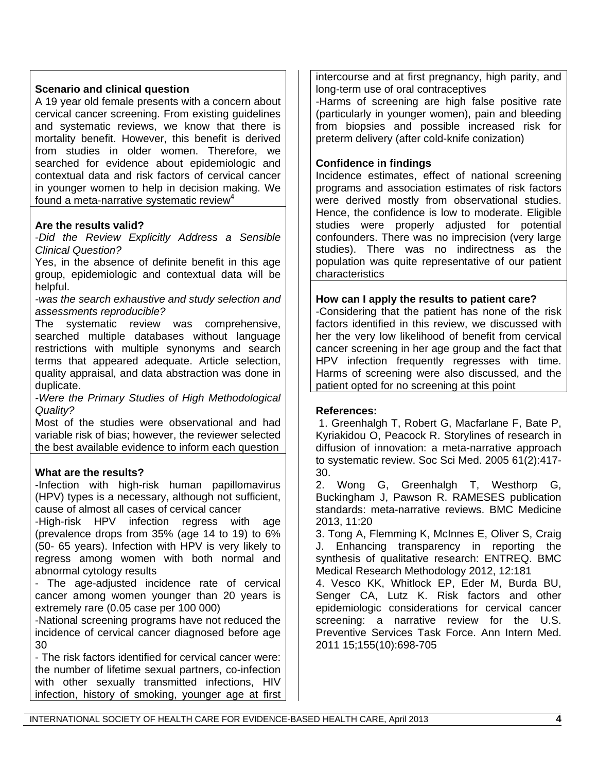## **Scenario and clinical question**

A 19 year old female presents with a concern about cervical cancer screening. From existing guidelines and systematic reviews, we know that there is mortality benefit. However, this benefit is derived from studies in older women. Therefore, we searched for evidence about epidemiologic and contextual data and risk factors of cervical cancer in younger women to help in decision making. We found a meta-narrative systematic review<sup>4</sup>

#### **Are the results valid?**

-*Did the Review Explicitly Address a Sensible Clinical Question?*

Yes, in the absence of definite benefit in this age group, epidemiologic and contextual data will be helpful.

*-was the search exhaustive and study selection and assessments reproducible?* 

The systematic review was comprehensive, searched multiple databases without language restrictions with multiple synonyms and search terms that appeared adequate. Article selection, quality appraisal, and data abstraction was done in duplicate.

*-Were the Primary Studies of High Methodological Quality?* 

Most of the studies were observational and had variable risk of bias; however, the reviewer selected the best available evidence to inform each question

## **What are the results?**

-Infection with high-risk human papillomavirus (HPV) types is a necessary, although not sufficient, cause of almost all cases of cervical cancer

-High-risk HPV infection regress with age (prevalence drops from 35% (age 14 to 19) to 6% (50- 65 years). Infection with HPV is very likely to regress among women with both normal and abnormal cytology results

- The age-adjusted incidence rate of cervical cancer among women younger than 20 years is extremely rare (0.05 case per 100 000)

-National screening programs have not reduced the incidence of cervical cancer diagnosed before age 30

- The risk factors identified for cervical cancer were: the number of lifetime sexual partners, co-infection with other sexually transmitted infections, HIV infection, history of smoking, younger age at first intercourse and at first pregnancy, high parity, and long-term use of oral contraceptives

-Harms of screening are high false positive rate (particularly in younger women), pain and bleeding from biopsies and possible increased risk for preterm delivery (after cold-knife conization)

#### **Confidence in findings**

Incidence estimates, effect of national screening programs and association estimates of risk factors were derived mostly from observational studies. Hence, the confidence is low to moderate. Eligible studies were properly adjusted for potential confounders. There was no imprecision (very large studies). There was no indirectness as the population was quite representative of our patient characteristics

#### **How can I apply the results to patient care?**

-Considering that the patient has none of the risk factors identified in this review, we discussed with her the very low likelihood of benefit from cervical cancer screening in her age group and the fact that HPV infection frequently regresses with time. Harms of screening were also discussed, and the patient opted for no screening at this point

## **References:**

 1. Greenhalgh T, Robert G, Macfarlane F, Bate P, Kyriakidou O, Peacock R. Storylines of research in diffusion of innovation: a meta-narrative approach to systematic review. Soc Sci Med. 2005 61(2):417- 30.

2. Wong G, Greenhalgh T, Westhorp G, Buckingham J, Pawson R. RAMESES publication standards: meta-narrative reviews. BMC Medicine 2013, 11:20

3. Tong A, Flemming K, McInnes E, Oliver S, Craig J. Enhancing transparency in reporting the synthesis of qualitative research: ENTREQ. BMC Medical Research Methodology 2012, 12:181

4. Vesco KK, Whitlock EP, Eder M, Burda BU, Senger CA, Lutz K. Risk factors and other epidemiologic considerations for cervical cancer screening: a narrative review for the U.S. Preventive Services Task Force. Ann Intern Med. 2011 15;155(10):698-705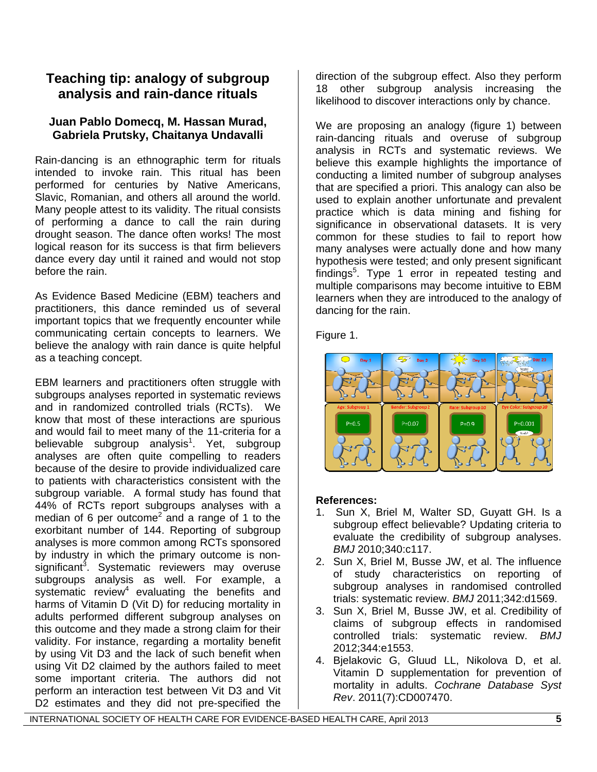# **Teaching tip: analogy of subgroup analysis and rain-dance rituals**

## **Juan Pablo Domecq, M. Hassan Murad, Gabriela Prutsky, Chaitanya Undavalli**

Rain-dancing is an ethnographic term for rituals intended to invoke rain. This ritual has been performed for centuries by Native Americans, Slavic, Romanian, and others all around the world. Many people attest to its validity. The ritual consists of performing a dance to call the rain during drought season. The dance often works! The most logical reason for its success is that firm believers dance every day until it rained and would not stop before the rain.

As Evidence Based Medicine (EBM) teachers and practitioners, this dance reminded us of several important topics that we frequently encounter while communicating certain concepts to learners. We believe the analogy with rain dance is quite helpful as a teaching concept.

EBM learners and practitioners often struggle with subgroups analyses reported in systematic reviews and in randomized controlled trials (RCTs). We know that most of these interactions are spurious and would fail to meet many of the 11-criteria for a believable subgroup analysis<sup>1</sup>. Yet, subgroup analyses are often quite compelling to readers because of the desire to provide individualized care to patients with characteristics consistent with the subgroup variable. A formal study has found that 44% of RCTs report subgroups analyses with a median of 6 per outcome<sup>2</sup> and a range of 1 to the exorbitant number of 144. Reporting of subgroup analyses is more common among RCTs sponsored by industry in which the primary outcome is nonsignificant<sup>3</sup>. Systematic reviewers may overuse subgroups analysis as well. For example, a systematic review $4$  evaluating the benefits and harms of Vitamin D (Vit D) for reducing mortality in adults performed different subgroup analyses on this outcome and they made a strong claim for their validity. For instance, regarding a mortality benefit by using Vit D3 and the lack of such benefit when using Vit D2 claimed by the authors failed to meet some important criteria. The authors did not perform an interaction test between Vit D3 and Vit D2 estimates and they did not pre-specified the

direction of the subgroup effect. Also they perform 18 other subgroup analysis increasing the likelihood to discover interactions only by chance.

We are proposing an analogy (figure 1) between rain-dancing rituals and overuse of subgroup analysis in RCTs and systematic reviews. We believe this example highlights the importance of conducting a limited number of subgroup analyses that are specified a priori. This analogy can also be used to explain another unfortunate and prevalent practice which is data mining and fishing for significance in observational datasets. It is very common for these studies to fail to report how many analyses were actually done and how many hypothesis were tested; and only present significant findings<sup>5</sup>. Type 1 error in repeated testing and multiple comparisons may become intuitive to EBM learners when they are introduced to the analogy of dancing for the rain.

Figure 1.



## **References:**

- 1. Sun X, Briel M, Walter SD, Guyatt GH. Is a subgroup effect believable? Updating criteria to evaluate the credibility of subgroup analyses. *BMJ* 2010;340:c117.
- 2. Sun X, Briel M, Busse JW, et al. The influence of study characteristics on reporting of subgroup analyses in randomised controlled trials: systematic review. *BMJ* 2011;342:d1569.
- 3. Sun X, Briel M, Busse JW, et al. Credibility of claims of subgroup effects in randomised controlled trials: systematic review. *BMJ* 2012;344:e1553.
- 4. Bjelakovic G, Gluud LL, Nikolova D, et al. Vitamin D supplementation for prevention of mortality in adults. *Cochrane Database Syst Rev*. 2011(7):CD007470.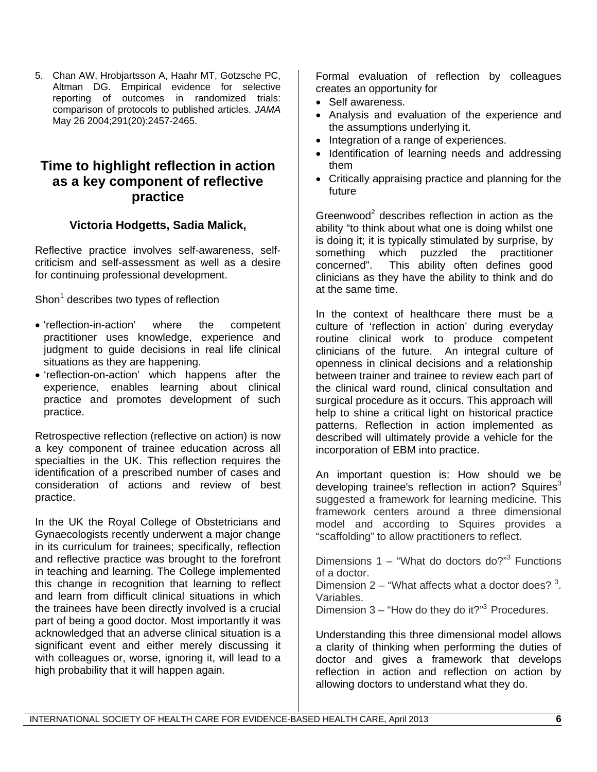5. Chan AW, Hrobjartsson A, Haahr MT, Gotzsche PC, Altman DG. Empirical evidence for selective reporting of outcomes in randomized trials: comparison of protocols to published articles. *JAMA* May 26 2004;291(20):2457-2465.

# **Time to highlight reflection in action as a key component of reflective practice**

# **Victoria Hodgetts, Sadia Malick,**

Reflective practice involves self-awareness, selfcriticism and self-assessment as well as a desire for continuing professional development.

Shon<sup>1</sup> describes two types of reflection

- 'reflection-in-action' where the competent practitioner uses knowledge, experience and judgment to guide decisions in real life clinical situations as they are happening.
- 'reflection-on-action' which happens after the experience, enables learning about clinical practice and promotes development of such practice.

Retrospective reflection (reflective on action) is now a key component of trainee education across all specialties in the UK. This reflection requires the identification of a prescribed number of cases and consideration of actions and review of best practice.

In the UK the Royal College of Obstetricians and Gynaecologists recently underwent a major change in its curriculum for trainees; specifically, reflection and reflective practice was brought to the forefront in teaching and learning. The College implemented this change in recognition that learning to reflect and learn from difficult clinical situations in which the trainees have been directly involved is a crucial part of being a good doctor. Most importantly it was acknowledged that an adverse clinical situation is a significant event and either merely discussing it with colleagues or, worse, ignoring it, will lead to a high probability that it will happen again.

Formal evaluation of reflection by colleagues creates an opportunity for

- Self awareness.
- Analysis and evaluation of the experience and the assumptions underlying it.
- Integration of a range of experiences.
- Identification of learning needs and addressing them
- Critically appraising practice and planning for the future

Greenwood<sup>2</sup> describes reflection in action as the ability "to think about what one is doing whilst one is doing it; it is typically stimulated by surprise, by something which puzzled the practitioner concerned". This ability often defines good clinicians as they have the ability to think and do at the same time.

In the context of healthcare there must be a culture of 'reflection in action' during everyday routine clinical work to produce competent clinicians of the future. An integral culture of openness in clinical decisions and a relationship between trainer and trainee to review each part of the clinical ward round, clinical consultation and surgical procedure as it occurs. This approach will help to shine a critical light on historical practice patterns. Reflection in action implemented as described will ultimately provide a vehicle for the incorporation of EBM into practice.

An important question is: How should we be developing trainee's reflection in action? Squires<sup>3</sup> suggested a framework for learning medicine. This framework centers around a three dimensional model and according to Squires provides a "scaffolding" to allow practitioners to reflect.

Dimensions  $1 -$  "What do doctors do?"<sup>3</sup> Functions of a doctor.

Dimension  $2$  – "What affects what a doctor does?  $3$ . Variables.

Dimension  $3 -$  "How do they do it?"<sup>3</sup> Procedures.

Understanding this three dimensional model allows a clarity of thinking when performing the duties of doctor and gives a framework that develops reflection in action and reflection on action by allowing doctors to understand what they do.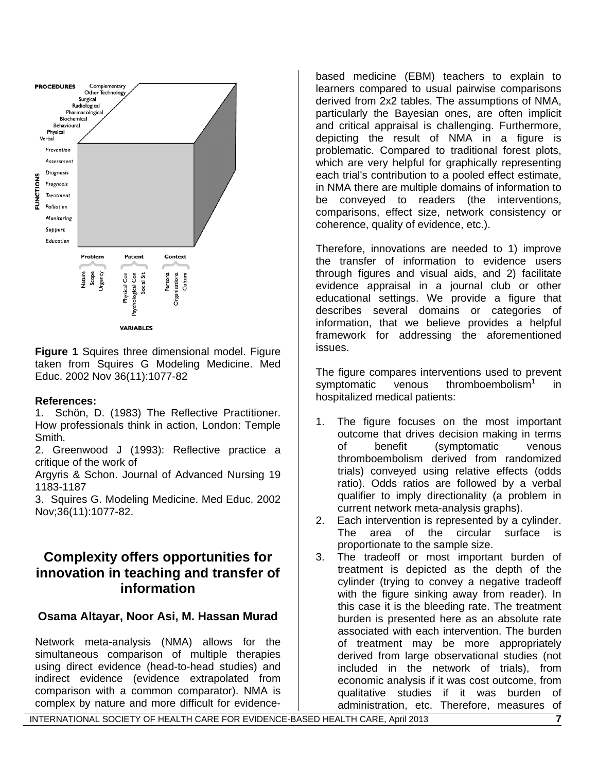

**Figure 1** Squires three dimensional model. Figure taken from Squires G Modeling Medicine. Med Educ. 2002 Nov 36(11):1077-82

## **References:**

1. Schön, D. (1983) The Reflective Practitioner. How professionals think in action, London: Temple Smith.

2. Greenwood J (1993): Reflective practice a critique of the work of

Argyris & Schon. Journal of Advanced Nursing 19 1183-1187

3. Squires G. Modeling Medicine. Med Educ. 2002 Nov;36(11):1077-82.

# **Complexity offers opportunities for innovation in teaching and transfer of information**

## **Osama Altayar, Noor Asi, M. Hassan Murad**

Network meta-analysis (NMA) allows for the simultaneous comparison of multiple therapies using direct evidence (head-to-head studies) and indirect evidence (evidence extrapolated from comparison with a common comparator). NMA is complex by nature and more difficult for evidencebased medicine (EBM) teachers to explain to learners compared to usual pairwise comparisons derived from 2x2 tables. The assumptions of NMA, particularly the Bayesian ones, are often implicit and critical appraisal is challenging. Furthermore, depicting the result of NMA in a figure is problematic. Compared to traditional forest plots, which are very helpful for graphically representing each trial's contribution to a pooled effect estimate, in NMA there are multiple domains of information to be conveyed to readers (the interventions, comparisons, effect size, network consistency or coherence, quality of evidence, etc.).

Therefore, innovations are needed to 1) improve the transfer of information to evidence users through figures and visual aids, and 2) facilitate evidence appraisal in a journal club or other educational settings. We provide a figure that describes several domains or categories of information, that we believe provides a helpful framework for addressing the aforementioned issues.

The figure compares interventions used to prevent symptomatic venous thromboembolism<sup>1</sup> in hospitalized medical patients:

- 1. The figure focuses on the most important outcome that drives decision making in terms of benefit (symptomatic venous thromboembolism derived from randomized trials) conveyed using relative effects (odds ratio). Odds ratios are followed by a verbal qualifier to imply directionality (a problem in current network meta-analysis graphs).
- 2. Each intervention is represented by a cylinder. The area of the circular surface is proportionate to the sample size.
- 3. The tradeoff or most important burden of treatment is depicted as the depth of the cylinder (trying to convey a negative tradeoff with the figure sinking away from reader). In this case it is the bleeding rate. The treatment burden is presented here as an absolute rate associated with each intervention. The burden of treatment may be more appropriately derived from large observational studies (not included in the network of trials), from economic analysis if it was cost outcome, from qualitative studies if it was burden of administration, etc. Therefore, measures of

INTERNATIONAL SOCIETY OF HEALTH CARE FOR EVIDENCE-BASED HEALTH CARE, April 2013 **7**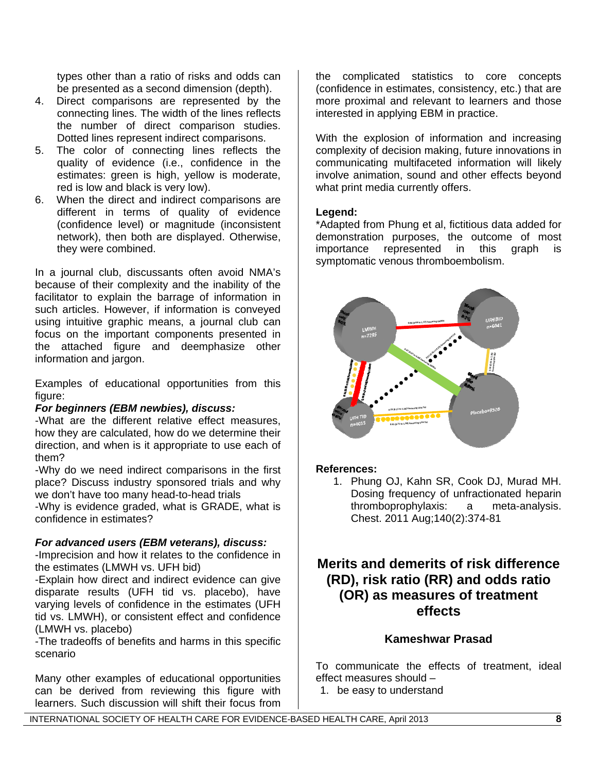types other than a ratio of risks and odds can be presented as a second dimension (depth).

- 4. Direct comparisons are represented by the connecting lines. The width of the lines reflects the number of direct comparison studies. Dotted lines represent indirect comparisons.
- 5. The color of connecting lines reflects the quality of evidence (i.e., confidence in the estimates: green is high, yellow is moderate, red is low and black is very low).
- 6. When the direct and indirect comparisons are different in terms of quality of evidence (confidence level) or magnitude (inconsistent network), then both are displayed. Otherwise, they were combined.

In a journal club, discussants often avoid NMA's because of their complexity and the inability of the facilitator to explain the barrage of information in such articles. However, if information is conveyed using intuitive graphic means, a journal club can focus on the important components presented in the attached figure and deemphasize other information and jargon.

Examples of educational opportunities from this figure:

## *For beginners (EBM newbies), discuss:*

-What are the different relative effect measures, how they are calculated, how do we determine their direction, and when is it appropriate to use each of them?

-Why do we need indirect comparisons in the first place? Discuss industry sponsored trials and why we don't have too many head-to-head trials

-Why is evidence graded, what is GRADE, what is confidence in estimates?

## *For advanced users (EBM veterans), discuss:*

-Imprecision and how it relates to the confidence in the estimates (LMWH vs. UFH bid)

-Explain how direct and indirect evidence can give disparate results (UFH tid vs. placebo), have varying levels of confidence in the estimates (UFH tid vs. LMWH), or consistent effect and confidence (LMWH vs. placebo)

-The tradeoffs of benefits and harms in this specific scenario

Many other examples of educational opportunities can be derived from reviewing this figure with learners. Such discussion will shift their focus from

the complicated statistics to core concepts (confidence in estimates, consistency, etc.) that are more proximal and relevant to learners and those interested in applying EBM in practice.

With the explosion of information and increasing complexity of decision making, future innovations in communicating multifaceted information will likely involve animation, sound and other effects beyond what print media currently offers.

## **Legend:**

\*Adapted from Phung et al, fictitious data added for demonstration purposes, the outcome of most importance represented in this graph is symptomatic venous thromboembolism.



## **References:**

1. Phung OJ, Kahn SR, Cook DJ, Murad MH. Dosing frequency of unfractionated heparin thromboprophylaxis: a meta-analysis. Chest. 2011 Aug;140(2):374-81

# **Merits and demerits of risk difference (RD), risk ratio (RR) and odds ratio (OR) as measures of treatment effects**

## **Kameshwar Prasad**

To communicate the effects of treatment, ideal effect measures should –

1. be easy to understand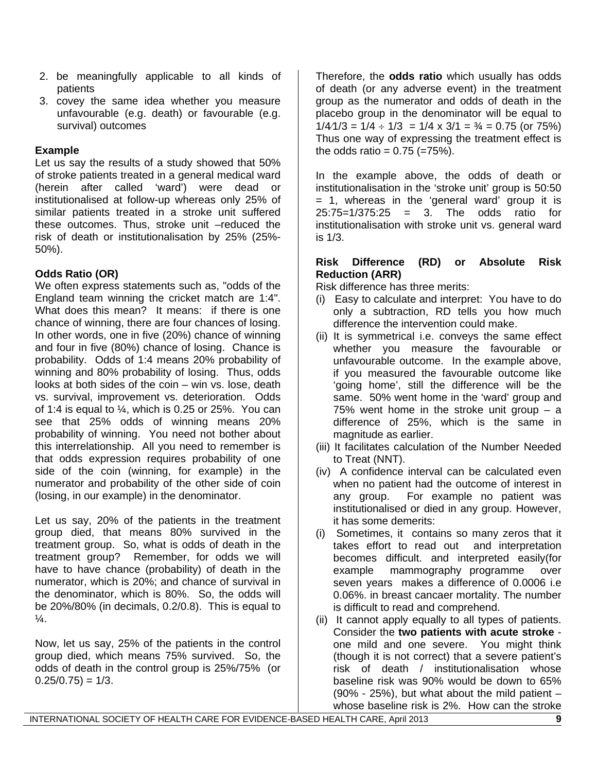- 2. be meaningfully applicable to all kinds of patients
- 3. covey the same idea whether you measure unfavourable (e.g. death) or favourable (e.g. survival) outcomes

## **Example**

Let us say the results of a study showed that 50% of stroke patients treated in a general medical ward (herein after called 'ward') were dead or institutionalised at follow-up whereas only 25% of similar patients treated in a stroke unit suffered these outcomes. Thus, stroke unit –reduced the risk of death or institutionalisation by 25% (25%- 50%).

# **Odds Ratio (OR)**

We often express statements such as, "odds of the England team winning the cricket match are 1:4". What does this mean? It means: if there is one chance of winning, there are four chances of losing. In other words, one in five (20%) chance of winning and four in five (80%) chance of losing. Chance is probability. Odds of 1:4 means 20% probability of winning and 80% probability of losing. Thus, odds looks at both sides of the coin – win vs. lose, death vs. survival, improvement vs. deterioration. Odds of 1:4 is equal to  $\frac{1}{4}$ , which is 0.25 or 25%. You can see that 25% odds of winning means 20% probability of winning. You need not bother about this interrelationship. All you need to remember is that odds expression requires probability of one side of the coin (winning, for example) in the numerator and probability of the other side of coin (losing, in our example) in the denominator.

Let us say, 20% of the patients in the treatment group died, that means 80% survived in the treatment group. So, what is odds of death in the treatment group? Remember, for odds we will have to have chance (probability) of death in the numerator, which is 20%; and chance of survival in the denominator, which is 80%. So, the odds will be 20%/80% (in decimals, 0.2/0.8). This is equal to  $\frac{1}{4}$ .

Now, let us say, 25% of the patients in the control group died, which means 75% survived. So, the odds of death in the control group is 25%/75% (or  $0.25/0.75$ ) = 1/3.

Therefore, the **odds ratio** which usually has odds of death (or any adverse event) in the treatment group as the numerator and odds of death in the placebo group in the denominator will be equal to  $1/4/1/3 = 1/4 \div 1/3 = 1/4 \times 3/1 = \frac{3}{4} = 0.75$  (or 75%) Thus one way of expressing the treatment effect is the odds ratio =  $0.75$  (=75%).

In the example above, the odds of death or institutionalisation in the 'stroke unit' group is 50:50 = 1, whereas in the 'general ward' group it is 25:75=1/375:25 = 3. The odds ratio for institutionalisation with stroke unit vs. general ward is 1/3.

## **Risk Difference (RD) or Absolute Risk Reduction (ARR)**

Risk difference has three merits:

- (i) Easy to calculate and interpret: You have to do only a subtraction, RD tells you how much difference the intervention could make.
- (ii) It is symmetrical i.e. conveys the same effect whether you measure the favourable or unfavourable outcome. In the example above, if you measured the favourable outcome like 'going home', still the difference will be the same. 50% went home in the 'ward' group and 75% went home in the stroke unit group  $-$  a difference of 25%, which is the same in magnitude as earlier.
- (iii) It facilitates calculation of the Number Needed to Treat (NNT).
- (iv) A confidence interval can be calculated even when no patient had the outcome of interest in any group. For example no patient was institutionalised or died in any group. However, it has some demerits:
- (i) Sometimes, it contains so many zeros that it takes effort to read out and interpretation becomes difficult. and interpreted easily(for example mammography programme over seven years makes a difference of 0.0006 i.e 0.06%. in breast cancaer mortality. The number is difficult to read and comprehend.
- (ii) It cannot apply equally to all types of patients. Consider the **two patients with acute stroke**  one mild and one severe. You might think (though it is not correct) that a severe patient's risk of death / institutionalisation whose baseline risk was 90% would be down to 65%  $(90\% - 25\%)$ , but what about the mild patient  $$ whose baseline risk is 2%. How can the stroke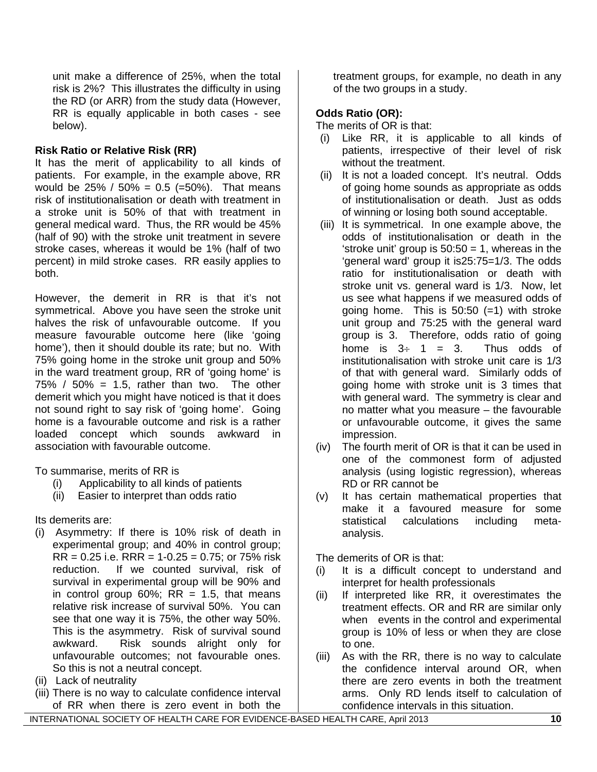unit make a difference of 25%, when the total risk is 2%? This illustrates the difficulty in using the RD (or ARR) from the study data (However, RR is equally applicable in both cases - see below).

## **Risk Ratio or Relative Risk (RR)**

It has the merit of applicability to all kinds of patients. For example, in the example above, RR would be  $25\%$  /  $50\% = 0.5$  (=50%). That means risk of institutionalisation or death with treatment in a stroke unit is 50% of that with treatment in general medical ward. Thus, the RR would be 45% (half of 90) with the stroke unit treatment in severe stroke cases, whereas it would be 1% (half of two percent) in mild stroke cases. RR easily applies to both.

However, the demerit in RR is that it's not symmetrical. Above you have seen the stroke unit halves the risk of unfavourable outcome. If you measure favourable outcome here (like 'going home'), then it should double its rate; but no. With 75% going home in the stroke unit group and 50% in the ward treatment group, RR of 'going home' is  $75\%$  /  $50\%$  = 1.5, rather than two. The other demerit which you might have noticed is that it does not sound right to say risk of 'going home'. Going home is a favourable outcome and risk is a rather loaded concept which sounds awkward in association with favourable outcome.

To summarise, merits of RR is

- (i) Applicability to all kinds of patients
- (ii) Easier to interpret than odds ratio

Its demerits are:

- (i) Asymmetry: If there is 10% risk of death in experimental group; and 40% in control group;  $RR = 0.25$  i.e.  $RRR = 1-0.25 = 0.75$ ; or 75% risk reduction. If we counted survival, risk of survival in experimental group will be 90% and in control group  $60\%$ ; RR = 1.5, that means relative risk increase of survival 50%. You can see that one way it is 75%, the other way 50%. This is the asymmetry. Risk of survival sound awkward. Risk sounds alright only for unfavourable outcomes; not favourable ones. So this is not a neutral concept.
- (ii) Lack of neutrality
- (iii) There is no way to calculate confidence interval of RR when there is zero event in both the

treatment groups, for example, no death in any of the two groups in a study.

## **Odds Ratio (OR):**

- The merits of OR is that:
- (i) Like RR, it is applicable to all kinds of patients, irrespective of their level of risk without the treatment.
- (ii) It is not a loaded concept. It's neutral. Odds of going home sounds as appropriate as odds of institutionalisation or death. Just as odds of winning or losing both sound acceptable.
- (iii) It is symmetrical. In one example above, the odds of institutionalisation or death in the 'stroke unit' group is  $50:50 = 1$ , whereas in the 'general ward' group it is25:75=1/3. The odds ratio for institutionalisation or death with stroke unit vs. general ward is 1/3. Now, let us see what happens if we measured odds of going home. This is  $50:50 (=1)$  with stroke unit group and 75:25 with the general ward group is 3. Therefore, odds ratio of going home is  $3 \div 1 = 3$ . Thus odds of institutionalisation with stroke unit care is 1/3 of that with general ward. Similarly odds of going home with stroke unit is 3 times that with general ward. The symmetry is clear and no matter what you measure – the favourable or unfavourable outcome, it gives the same impression.
- (iv) The fourth merit of OR is that it can be used in one of the commonest form of adjusted analysis (using logistic regression), whereas RD or RR cannot be
- (v) It has certain mathematical properties that make it a favoured measure for some statistical calculations including metaanalysis.

The demerits of OR is that:

- (i) It is a difficult concept to understand and interpret for health professionals
- (ii) If interpreted like RR, it overestimates the treatment effects. OR and RR are similar only when events in the control and experimental group is 10% of less or when they are close to one.
- (iii) As with the RR, there is no way to calculate the confidence interval around OR, when there are zero events in both the treatment arms. Only RD lends itself to calculation of confidence intervals in this situation.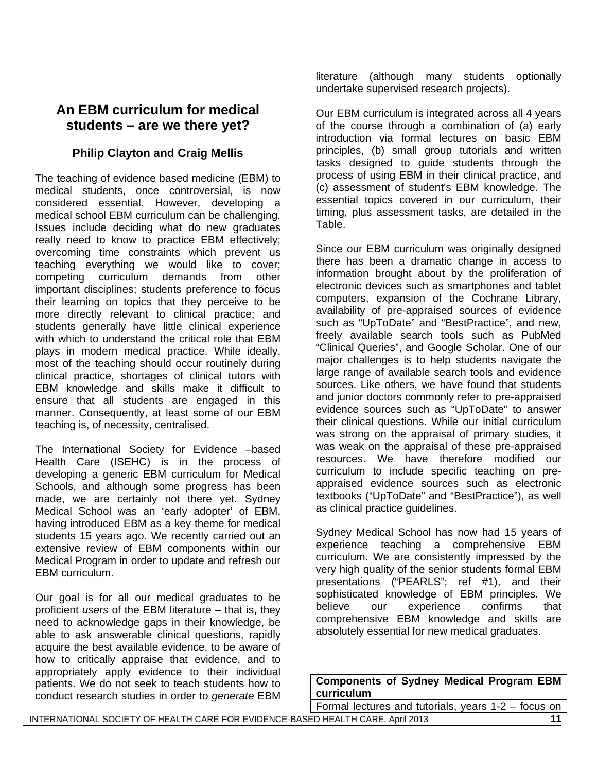# **An EBM curriculum for medical students – are we there yet?**

# **Philip Clayton and Craig Mellis**

The teaching of evidence based medicine (EBM) to medical students, once controversial, is now considered essential. However, developing a medical school EBM curriculum can be challenging. Issues include deciding what do new graduates really need to know to practice EBM effectively; overcoming time constraints which prevent us teaching everything we would like to cover; competing curriculum demands from other important disciplines; students preference to focus their learning on topics that they perceive to be more directly relevant to clinical practice; and students generally have little clinical experience with which to understand the critical role that EBM plays in modern medical practice. While ideally, most of the teaching should occur routinely during clinical practice, shortages of clinical tutors with EBM knowledge and skills make it difficult to ensure that all students are engaged in this manner. Consequently, at least some of our EBM teaching is, of necessity, centralised.

The International Society for Evidence –based Health Care (ISEHC) is in the process of developing a generic EBM curriculum for Medical Schools, and although some progress has been made, we are certainly not there yet. Sydney Medical School was an 'early adopter' of EBM, having introduced EBM as a key theme for medical students 15 years ago. We recently carried out an extensive review of EBM components within our Medical Program in order to update and refresh our EBM curriculum.

Our goal is for all our medical graduates to be proficient *users* of the EBM literature – that is, they need to acknowledge gaps in their knowledge, be able to ask answerable clinical questions, rapidly acquire the best available evidence, to be aware of how to critically appraise that evidence, and to appropriately apply evidence to their individual patients. We do not seek to teach students how to conduct research studies in order to *generate* EBM literature (although many students optionally undertake supervised research projects).

Our EBM curriculum is integrated across all 4 years of the course through a combination of (a) early introduction via formal lectures on basic EBM principles, (b) small group tutorials and written tasks designed to guide students through the process of using EBM in their clinical practice, and (c) assessment of student's EBM knowledge. The essential topics covered in our curriculum, their timing, plus assessment tasks, are detailed in the Table.

Since our EBM curriculum was originally designed there has been a dramatic change in access to information brought about by the proliferation of electronic devices such as smartphones and tablet computers, expansion of the Cochrane Library, availability of pre-appraised sources of evidence such as "UpToDate" and "BestPractice", and new, freely available search tools such as PubMed "Clinical Queries", and Google Scholar. One of our major challenges is to help students navigate the large range of available search tools and evidence sources. Like others, we have found that students and junior doctors commonly refer to pre-appraised evidence sources such as "UpToDate" to answer their clinical questions. While our initial curriculum was strong on the appraisal of primary studies, it was weak on the appraisal of these pre-appraised resources. We have therefore modified our curriculum to include specific teaching on preappraised evidence sources such as electronic textbooks ("UpToDate" and "BestPractice"), as well as clinical practice guidelines.

Sydney Medical School has now had 15 years of experience teaching a comprehensive EBM curriculum. We are consistently impressed by the very high quality of the senior students formal EBM presentations ("PEARLS"; ref #1), and their sophisticated knowledge of EBM principles. We believe our experience confirms that comprehensive EBM knowledge and skills are absolutely essential for new medical graduates.

**Components of Sydney Medical Program EBM curriculum**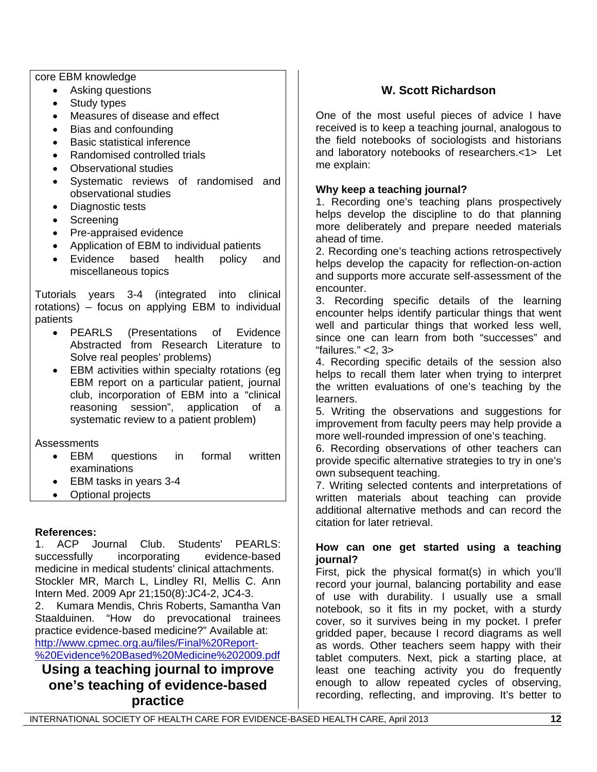core EBM knowledge

- Asking questions
- Study types
- Measures of disease and effect
- Bias and confounding
- Basic statistical inference
- Randomised controlled trials
- Observational studies
- Systematic reviews of randomised and observational studies
- Diagnostic tests
- Screening
- Pre-appraised evidence
- Application of EBM to individual patients
- Evidence based health policy and miscellaneous topics

Tutorials years 3-4 (integrated into clinical rotations) – focus on applying EBM to individual patients

- PEARLS (Presentations of Evidence Abstracted from Research Literature to Solve real peoples' problems)
- EBM activities within specialty rotations (eg EBM report on a particular patient, journal club, incorporation of EBM into a "clinical reasoning session", application of a systematic review to a patient problem)

Assessments

- EBM questions in formal written examinations
- EBM tasks in years 3-4
- Optional projects

## **References:**

1. ACP Journal Club. Students' PEARLS: successfully incorporating evidence-based medicine in medical students' clinical attachments. Stockler MR, March L, Lindley RI, Mellis C. Ann Intern Med. 2009 Apr 21;150(8):JC4-2, JC4-3. 2. Kumara Mendis, Chris Roberts, Samantha Van Staalduinen. "How do prevocational trainees practice evidence-based medicine?" Available at: [http://www.cpmec.org.au/files/Final%20Report-](http://www.cpmec.org.au/files/Final%20Report-%20Evidence%20Based%20Medicine%202009.pdf)

[%20Evidence%20Based%20Medicine%202009.pdf](http://www.cpmec.org.au/files/Final%20Report-%20Evidence%20Based%20Medicine%202009.pdf)

**Using a teaching journal to improve one's teaching of evidence-based practice** 

# **W. Scott Richardson**

One of the most useful pieces of advice I have received is to keep a teaching journal, analogous to the field notebooks of sociologists and historians and laboratory notebooks of researchers.<1> Let me explain:

## **Why keep a teaching journal?**

1. Recording one's teaching plans prospectively helps develop the discipline to do that planning more deliberately and prepare needed materials ahead of time.

2. Recording one's teaching actions retrospectively helps develop the capacity for reflection-on-action and supports more accurate self-assessment of the encounter.

3. Recording specific details of the learning encounter helps identify particular things that went well and particular things that worked less well, since one can learn from both "successes" and "failures." <2, 3>

4. Recording specific details of the session also helps to recall them later when trying to interpret the written evaluations of one's teaching by the learners.

5. Writing the observations and suggestions for improvement from faculty peers may help provide a more well-rounded impression of one's teaching.

6. Recording observations of other teachers can provide specific alternative strategies to try in one's own subsequent teaching.

7. Writing selected contents and interpretations of written materials about teaching can provide additional alternative methods and can record the citation for later retrieval.

#### **How can one get started using a teaching journal?**

First, pick the physical format(s) in which you'll record your journal, balancing portability and ease of use with durability. I usually use a small notebook, so it fits in my pocket, with a sturdy cover, so it survives being in my pocket. I prefer gridded paper, because I record diagrams as well as words. Other teachers seem happy with their tablet computers. Next, pick a starting place, at least one teaching activity you do frequently enough to allow repeated cycles of observing, recording, reflecting, and improving. It's better to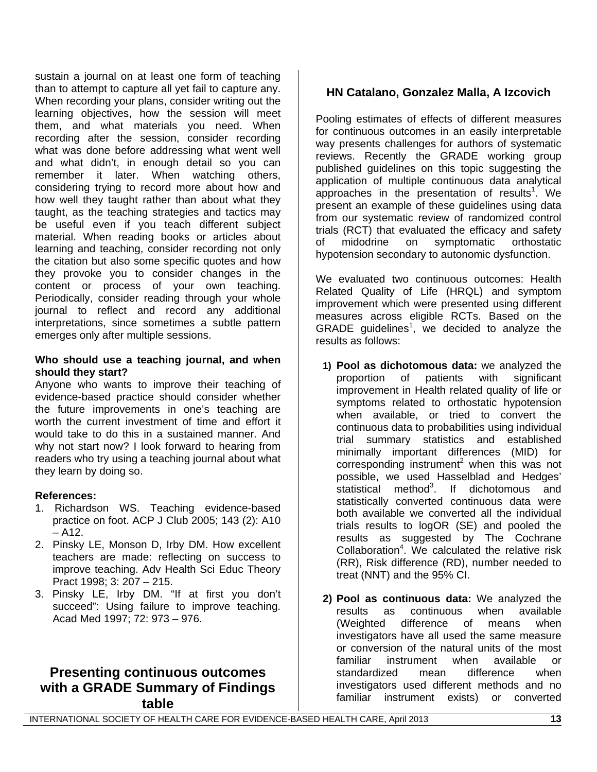sustain a journal on at least one form of teaching than to attempt to capture all yet fail to capture any. When recording your plans, consider writing out the learning objectives, how the session will meet them, and what materials you need. When recording after the session, consider recording what was done before addressing what went well and what didn't, in enough detail so you can remember it later. When watching others, considering trying to record more about how and how well they taught rather than about what they taught, as the teaching strategies and tactics may be useful even if you teach different subject material. When reading books or articles about learning and teaching, consider recording not only the citation but also some specific quotes and how they provoke you to consider changes in the content or process of your own teaching. Periodically, consider reading through your whole journal to reflect and record any additional interpretations, since sometimes a subtle pattern emerges only after multiple sessions.

#### **Who should use a teaching journal, and when should they start?**

Anyone who wants to improve their teaching of evidence-based practice should consider whether the future improvements in one's teaching are worth the current investment of time and effort it would take to do this in a sustained manner. And why not start now? I look forward to hearing from readers who try using a teaching journal about what they learn by doing so.

## **References:**

- 1. Richardson WS. Teaching evidence-based practice on foot. ACP J Club 2005; 143 (2): A10  $-$  A12.
- 2. Pinsky LE, Monson D, Irby DM. How excellent teachers are made: reflecting on success to improve teaching. Adv Health Sci Educ Theory Pract 1998; 3: 207 – 215.
- 3. Pinsky LE, Irby DM. "If at first you don't succeed": Using failure to improve teaching. Acad Med 1997; 72: 973 – 976.

# **Presenting continuous outcomes with a GRADE Summary of Findings table**

# **HN Catalano, Gonzalez Malla, A Izcovich**

Pooling estimates of effects of different measures for continuous outcomes in an easily interpretable way presents challenges for authors of systematic reviews. Recently the GRADE working group published guidelines on this topic suggesting the application of multiple continuous data analytical approaches in the presentation of results<sup>1</sup>. We present an example of these guidelines using data from our systematic review of randomized control trials (RCT) that evaluated the efficacy and safety of midodrine on symptomatic orthostatic hypotension secondary to autonomic dysfunction.

We evaluated two continuous outcomes: Health Related Quality of Life (HRQL) and symptom improvement which were presented using different measures across eligible RCTs. Based on the GRADE guidelines<sup>1</sup>, we decided to analyze the results as follows:

- **1) Pool as dichotomous data:** we analyzed the proportion of patients with significant improvement in Health related quality of life or symptoms related to orthostatic hypotension when available, or tried to convert the continuous data to probabilities using individual trial summary statistics and established minimally important differences (MID) for corresponding instrument<sup>2</sup> when this was not possible, we used Hasselblad and Hedges' statistical method<sup>3</sup>. If dichotomous and statistically converted continuous data were both available we converted all the individual trials results to logOR (SE) and pooled the results as suggested by The Cochrane Collaboration $4$ . We calculated the relative risk (RR), Risk difference (RD), number needed to treat (NNT) and the 95% CI.
- **2) Pool as continuous data:** We analyzed the results as continuous when available (Weighted difference of means when investigators have all used the same measure or conversion of the natural units of the most familiar instrument when available or standardized mean difference when investigators used different methods and no familiar instrument exists) or converted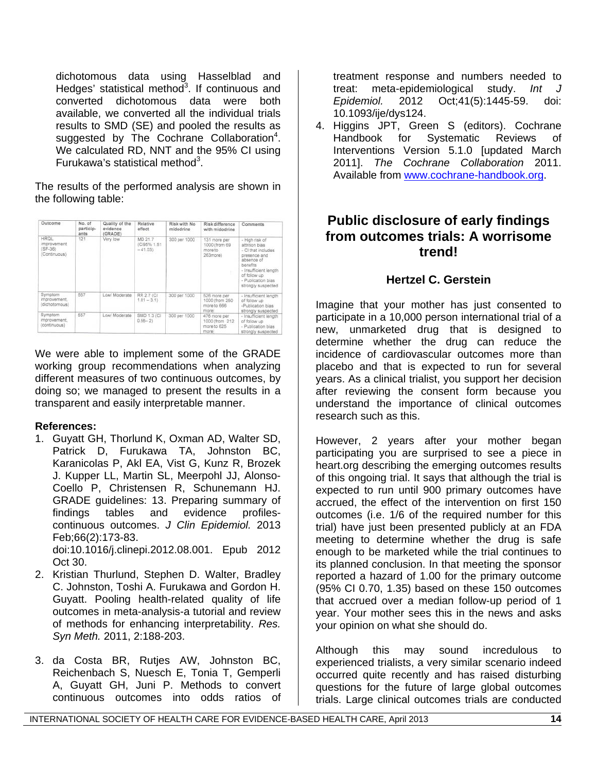dichotomous data using Hasselblad and Hedges' statistical method $3$ . If continuous and converted dichotomous data were both available, we converted all the individual trials results to SMD (SE) and pooled the results as suggested by The Cochrane Collaboration<sup>4</sup>. We calculated RD, NNT and the 95% CI using Furukawa's statistical method<sup>3</sup>.

The results of the performed analysis are shown in the following table:

| Outcome                                          | No. of<br>particip-<br>ants | Quality of the<br>avidence<br>(GRADE) | Relative<br>effect                  | Risk with No.<br>midodrine | Risk difference<br>with midodrine                       | Comments                                                                                                                                                                              |
|--------------------------------------------------|-----------------------------|---------------------------------------|-------------------------------------|----------------------------|---------------------------------------------------------|---------------------------------------------------------------------------------------------------------------------------------------------------------------------------------------|
| HROL<br>improvement<br>$(SF-36)$<br>(Continuous) | 121                         | Very low                              | MD 21.7<br>(CI95% 1.51<br>$-41.031$ | 300 per 1000               | 131 more per<br>1000 (from 69<br>more to<br>263more)    | - High risk of<br>attrition bias<br>- Cl that includes<br>presence and<br>absence of<br>benefits<br>- Insufficient length<br>of follow up<br>- Publication bias<br>strongly suspected |
| Symptom<br>improvement.<br>dichatamous)          | 557                         | Low/ Moderate                         | <b>RR 2.7 (CI</b><br>$1.81 - 3.1$   | 300 per 1000               | 526 more per<br>1000 (from 250<br>more to 666<br>more)  | - Insufficient length<br>of follow up<br>-Publication bias<br>strongly suspected.                                                                                                     |
| Symptom<br>mprovement.<br>(continuous)           | 557                         | Low/ Moderate                         | SMD 1.3 (C)<br>$0.56 - 2)$          | 300 per 1000               | 476 more per<br>1000 (from 212)<br>more to 625<br>more) | - Insufficient length<br>of follow up<br>- Publication bias<br>strongly suspected                                                                                                     |

We were able to implement some of the GRADE working group recommendations when analyzing different measures of two continuous outcomes, by doing so; we managed to present the results in a transparent and easily interpretable manner.

## **References:**

- 1. Guyatt GH, Thorlund K, Oxman AD, Walter SD, Patrick D, Furukawa TA, Johnston BC, Karanicolas P, Akl EA, Vist G, Kunz R, Brozek J. Kupper LL, Martin SL, Meerpohl JJ, Alonso-Coello P, Christensen R, Schunemann HJ. GRADE guidelines: 13. Preparing summary of findings tables and evidence profilescontinuous outcomes. *J Clin Epidemiol.* 2013 Feb;66(2):173-83. doi:10.1016/j.clinepi.2012.08.001. Epub 2012
- Oct 30. 2. Kristian Thurlund, Stephen D. Walter, Bradley C. Johnston, Toshi A. Furukawa and Gordon H. Guyatt. Pooling health-related quality of life outcomes in meta-analysis-a tutorial and review of methods for enhancing interpretability. *Res. Syn Meth.* 2011, 2:188-203.
- 3. da Costa BR, Rutjes AW, Johnston BC, Reichenbach S, Nuesch E, Tonia T, Gemperli A, Guyatt GH, Juni P. Methods to convert continuous outcomes into odds ratios of

treatment response and numbers needed to treat: meta-epidemiological study. *Int J Epidemiol.* 2012 Oct;41(5):1445-59. doi: 10.1093/ije/dys124.

4. Higgins JPT, Green S (editors). Cochrane Handbook for Systematic Reviews of Interventions Version 5.1.0 [updated March 2011]. *The Cochrane Collaboration* 2011. Available from [www.cochrane-handbook.org.](http://www.cochrane-handbook.org/)

# **Public disclosure of early findings from outcomes trials: A worrisome trend!**

# **Hertzel C. Gerstein**

Imagine that your mother has just consented to participate in a 10,000 person international trial of a new, unmarketed drug that is designed to determine whether the drug can reduce the incidence of cardiovascular outcomes more than placebo and that is expected to run for several years. As a clinical trialist, you support her decision after reviewing the consent form because you understand the importance of clinical outcomes research such as this.

However, 2 years after your mother began participating you are surprised to see a piece in heart.org describing the emerging outcomes results of this ongoing trial. It says that although the trial is expected to run until 900 primary outcomes have accrued, the effect of the intervention on first 150 outcomes (i.e. 1/6 of the required number for this trial) have just been presented publicly at an FDA meeting to determine whether the drug is safe enough to be marketed while the trial continues to its planned conclusion. In that meeting the sponsor reported a hazard of 1.00 for the primary outcome (95% CI 0.70, 1.35) based on these 150 outcomes that accrued over a median follow-up period of 1 year. Your mother sees this in the news and asks your opinion on what she should do.

Although this may sound incredulous to experienced trialists, a very similar scenario indeed occurred quite recently and has raised disturbing questions for the future of large global outcomes trials. Large clinical outcomes trials are conducted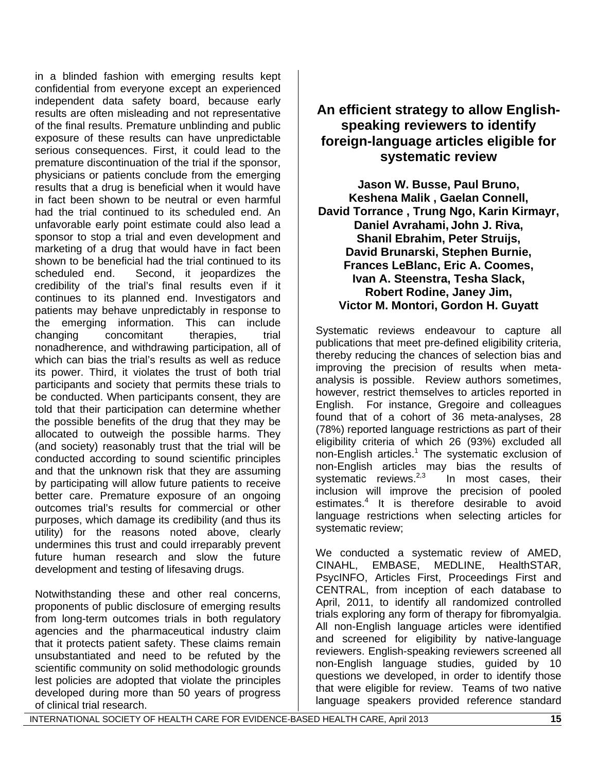in a blinded fashion with emerging results kept confidential from everyone except an experienced independent data safety board, because early results are often misleading and not representative of the final results. Premature unblinding and public exposure of these results can have unpredictable serious consequences. First, it could lead to the premature discontinuation of the trial if the sponsor, physicians or patients conclude from the emerging results that a drug is beneficial when it would have in fact been shown to be neutral or even harmful had the trial continued to its scheduled end. An unfavorable early point estimate could also lead a sponsor to stop a trial and even development and marketing of a drug that would have in fact been shown to be beneficial had the trial continued to its scheduled end. Second, it jeopardizes the credibility of the trial's final results even if it continues to its planned end. Investigators and patients may behave unpredictably in response to the emerging information. This can include changing concomitant therapies, trial nonadherence, and withdrawing participation, all of which can bias the trial's results as well as reduce its power. Third, it violates the trust of both trial participants and society that permits these trials to be conducted. When participants consent, they are told that their participation can determine whether the possible benefits of the drug that they may be allocated to outweigh the possible harms. They (and society) reasonably trust that the trial will be conducted according to sound scientific principles and that the unknown risk that they are assuming by participating will allow future patients to receive better care. Premature exposure of an ongoing outcomes trial's results for commercial or other purposes, which damage its credibility (and thus its utility) for the reasons noted above, clearly undermines this trust and could irreparably prevent future human research and slow the future development and testing of lifesaving drugs.

Notwithstanding these and other real concerns, proponents of public disclosure of emerging results from long-term outcomes trials in both regulatory agencies and the pharmaceutical industry claim that it protects patient safety. These claims remain unsubstantiated and need to be refuted by the scientific community on solid methodologic grounds lest policies are adopted that violate the principles developed during more than 50 years of progress of clinical trial research.

# **An efficient strategy to allow Englishspeaking reviewers to identify foreign-language articles eligible for systematic review**

**Jason W. Busse, Paul Bruno, Keshena Malik , Gaelan Connell, David Torrance , Trung Ngo, Karin Kirmayr, Daniel Avrahami, John J. Riva, Shanil Ebrahim, Peter Struijs, David Brunarski, Stephen Burnie, Frances LeBlanc, Eric A. Coomes, Ivan A. Steenstra, Tesha Slack, Robert Rodine, Janey Jim, Victor M. Montori, Gordon H. Guyatt**

Systematic reviews endeavour to capture all publications that meet pre-defined eligibility criteria, thereby reducing the chances of selection bias and improving the precision of results when metaanalysis is possible. Review authors sometimes, however, restrict themselves to articles reported in English. For instance, Gregoire and colleagues found that of a cohort of 36 meta-analyses, 28 (78%) reported language restrictions as part of their eligibility criteria of which 26 (93%) excluded all non-English articles.<sup>1</sup> The systematic exclusion of non-English articles may bias the results of systematic reviews. $2.3$  In most cases, their inclusion will improve the precision of pooled estimates.<sup>4</sup> It is therefore desirable to avoid language restrictions when selecting articles for systematic review;

We conducted a systematic review of AMED, CINAHL, EMBASE, MEDLINE, HealthSTAR, PsycINFO, Articles First, Proceedings First and CENTRAL, from inception of each database to April, 2011, to identify all randomized controlled trials exploring any form of therapy for fibromyalgia. All non-English language articles were identified and screened for eligibility by native-language reviewers. English-speaking reviewers screened all non-English language studies, guided by 10 questions we developed, in order to identify those that were eligible for review. Teams of two native language speakers provided reference standard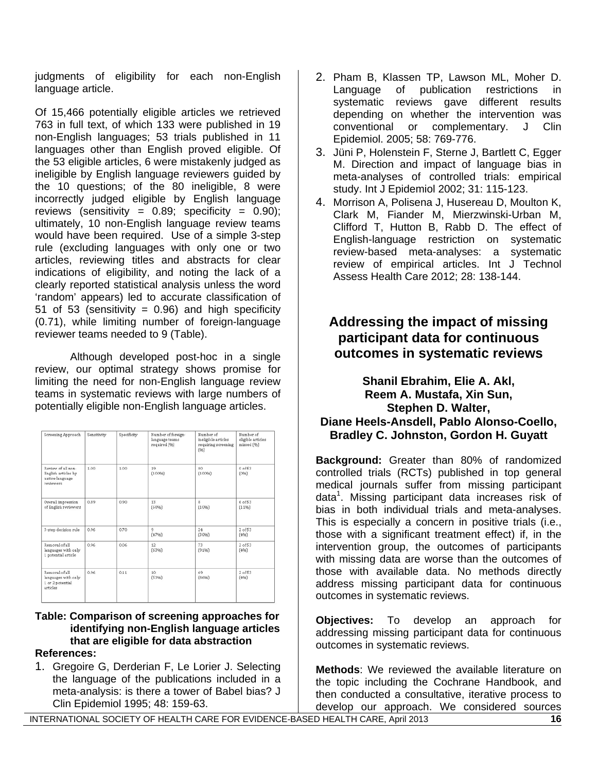judgments of eligibility for each non-English language article.

Of 15,466 potentially eligible articles we retrieved 763 in full text, of which 133 were published in 19 non-English languages; 53 trials published in 11 languages other than English proved eligible. Of the 53 eligible articles, 6 were mistakenly judged as ineligible by English language reviewers guided by the 10 questions; of the 80 ineligible, 8 were incorrectly judged eligible by English language reviews (sensitivity =  $0.89$ ; specificity =  $0.90$ ); ultimately, 10 non-English language review teams would have been required. Use of a simple 3-step rule (excluding languages with only one or two articles, reviewing titles and abstracts for clear indications of eligibility, and noting the lack of a clearly reported statistical analysis unless the word 'random' appears) led to accurate classification of 51 of 53 (sensitivity =  $0.96$ ) and high specificity (0.71), while limiting number of foreign-language reviewer teams needed to 9 (Table).

Although developed post-hoc in a single review, our optimal strategy shows promise for limiting the need for non-English language review teams in systematic reviews with large numbers of potentially eligible non-English language articles.

| Screening Approach                                                        | Sensitivity | Specificity | Number of foreign-<br>language teams<br>required [96] | Number of<br>ineligible articles<br>requiring screening<br>(96) | Number of<br>eligible articles<br>missed (%) |
|---------------------------------------------------------------------------|-------------|-------------|-------------------------------------------------------|-----------------------------------------------------------------|----------------------------------------------|
| Review of all non-<br>English articles by<br>native-language<br>reviewers | 1.00        | 1.00        | 19<br>(100%)                                          | 80<br>(100%                                                     | $0$ of $53$<br>(096)                         |
| Overall impression<br>of English reviewers                                | 0.89        | 0.90        | 13<br>[6896]                                          | $\dot{\mathbf{g}}$<br>(1096)                                    | $6$ of $53$<br>[1196]                        |
| 3-step decision rule                                                      | 0.96        | 0.70        | 9<br>(4796)                                           | 24<br>(3096)                                                    | $2$ of $53$<br>(496)                         |
| Removal of all<br>languages with only<br>1 potential article              | 0.96        | 0.06        | 12<br>(6396)                                          | 73<br>(9196)                                                    | $2$ of $53$<br>(496)                         |
| Removal of all<br>languages with only<br>1 or 2 potential<br>articles     | 0.96        | 0.11        | 10<br>(53%)                                           | 69<br>(8696)                                                    | $2$ of $53$<br>(496)                         |

#### **Table: Comparison of screening approaches for identifying non-English language articles that are eligible for data abstraction References:**

1. Gregoire G, Derderian F, Le Lorier J. Selecting the language of the publications included in a meta-analysis: is there a tower of Babel bias? J Clin Epidemiol 1995; 48: 159-63.

- 2. Pham B, Klassen TP, Lawson ML, Moher D. Language of publication restrictions in systematic reviews gave different results depending on whether the intervention was conventional or complementary. J Clin Epidemiol. 2005; 58: 769-776.
- 3. Jüni P, Holenstein F, Sterne J, Bartlett C, Egger M. Direction and impact of language bias in meta-analyses of controlled trials: empirical study. Int J Epidemiol 2002; 31: 115-123.
- 4. Morrison A, Polisena J, Husereau D, Moulton K, Clark M, Fiander M, Mierzwinski-Urban M, Clifford T, Hutton B, Rabb D. The effect of English-language restriction on systematic review-based meta-analyses: a systematic review of empirical articles. Int J Technol Assess Health Care 2012; 28: 138-144.

# **Addressing the impact of missing participant data for continuous outcomes in systematic reviews**

## **Shanil Ebrahim, Elie A. Akl, Reem A. Mustafa, Xin Sun, Stephen D. Walter, Diane Heels-Ansdell, Pablo Alonso-Coello, Bradley C. Johnston, Gordon H. Guyatt**

**Background:** Greater than 80% of randomized controlled trials (RCTs) published in top general medical journals suffer from missing participant data<sup>1</sup>. Missing participant data increases risk of bias in both individual trials and meta-analyses. This is especially a concern in positive trials (i.e., those with a significant treatment effect) if, in the intervention group, the outcomes of participants with missing data are worse than the outcomes of those with available data. No methods directly address missing participant data for continuous outcomes in systematic reviews.

**Objectives:** To develop an approach for addressing missing participant data for continuous outcomes in systematic reviews.

**Methods**: We reviewed the available literature on the topic including the Cochrane Handbook, and then conducted a consultative, iterative process to develop our approach. We considered sources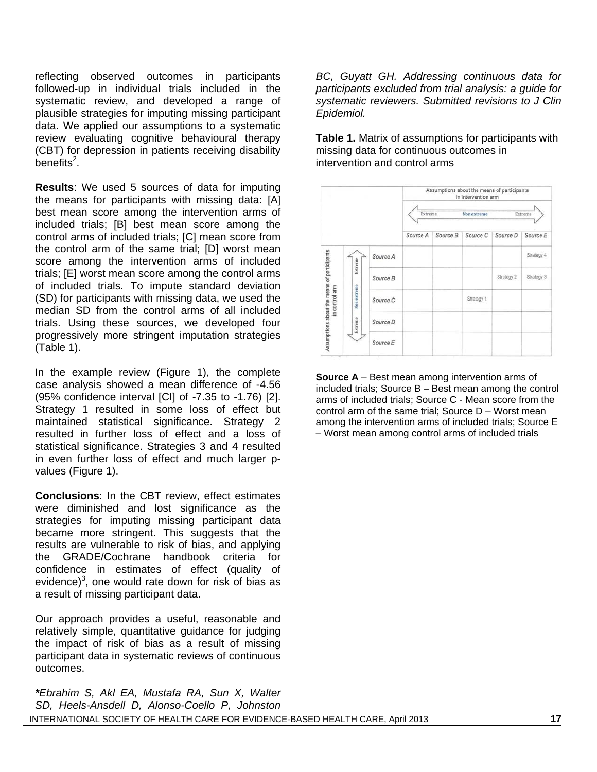reflecting observed outcomes in participants followed-up in individual trials included in the systematic review, and developed a range of plausible strategies for imputing missing participant data. We applied our assumptions to a systematic review evaluating cognitive behavioural therapy (CBT) for depression in patients receiving disability  $benefts<sup>2</sup>$ .

**Results**: We used 5 sources of data for imputing the means for participants with missing data: [A] best mean score among the intervention arms of included trials; [B] best mean score among the control arms of included trials; [C] mean score from the control arm of the same trial; [D] worst mean score among the intervention arms of included trials; [E] worst mean score among the control arms of included trials. To impute standard deviation (SD) for participants with missing data, we used the median SD from the control arms of all included trials. Using these sources, we developed four progressively more stringent imputation strategies (Table 1).

In the example review (Figure 1), the complete case analysis showed a mean difference of -4.56 (95% confidence interval [CI] of -7.35 to -1.76) [[2\]](#page-0-0). Strategy 1 resulted in some loss of effect but maintained statistical significance. Strategy 2 resulted in further loss of effect and a loss of statistical significance. Strategies 3 and 4 resulted in even further loss of effect and much larger pvalues (Figure 1).

**Conclusions**: In the CBT review, effect estimates were diminished and lost significance as the strategies for imputing missing participant data became more stringent. This suggests that the results are vulnerable to risk of bias, and applying the GRADE/Cochrane handbook criteria for confidence in estimates of effect (quality of evidence) $3$ , one would rate down for risk of bias as a result of missing participant data.

Our approach provides a useful, reasonable and relatively simple, quantitative guidance for judging the impact of risk of bias as a result of missing participant data in systematic reviews of continuous outcomes.

*\*Ebrahim S, Akl EA, Mustafa RA, Sun X, Walter SD, Heels-Ansdell D, Alonso-Coello P, Johnston* 

*BC, Guyatt GH. Addressing continuous data for participants excluded from trial analysis: a guide for systematic reviewers. Submitted revisions to J Clin Epidemiol.* 

**Table 1.** Matrix of assumptions for participants with missing data for continuous outcomes in intervention and control arms



**Source A** – Best mean among intervention arms of included trials; Source B – Best mean among the control arms of included trials; Source C - Mean score from the control arm of the same trial; Source D – Worst mean among the intervention arms of included trials; Source E – Worst mean among control arms of included trials

INTERNATIONAL SOCIETY OF HEALTH CARE FOR EVIDENCE-BASED HEALTH CARE, April 2013 **17**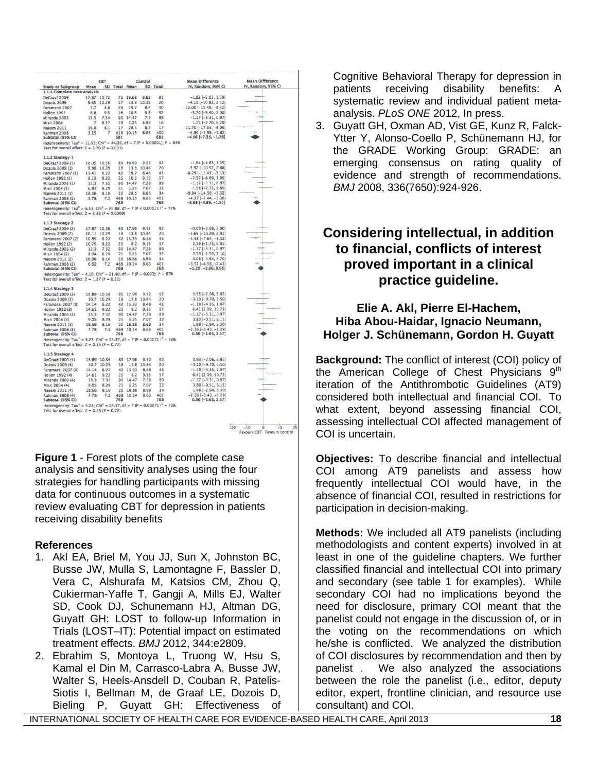|                                                                                                                                                              |                | <b>CBT</b>   |               |              | Control      |            | <b>Mean Difference</b>                                     | <b>Mean Difference</b>                                          |
|--------------------------------------------------------------------------------------------------------------------------------------------------------------|----------------|--------------|---------------|--------------|--------------|------------|------------------------------------------------------------|-----------------------------------------------------------------|
| <b>Study or Subgroup</b>                                                                                                                                     | Mean           |              | SD Total Mean |              |              | SD Total   | IV, Random, 95% CI                                         | IV, Random, 95% CI                                              |
| 1.1.1 Complete case analysis                                                                                                                                 |                |              |               |              |              |            |                                                            |                                                                 |
| DeCraaf 2009                                                                                                                                                 |                | 17.87 10.72  | 75            | 19.69        | 9.62         | 81         | $-1.82$ [ $-5.03$ , 1.39]                                  |                                                                 |
| Dozois 2009                                                                                                                                                  | 9.65           | 10.29        | 17            | 13.8         | 10.35        | 20         | $-4.15$ $[-10.82, 2.52]$                                   |                                                                 |
| Faramarzi 2007                                                                                                                                               | 7.7            | 4.8          | 29            | 19.7         | 8.4          | 30         | $-12.00$ [ $-15.48, -8.52$ ]                               |                                                                 |
| Hollon 1992                                                                                                                                                  | 6.8            | 9.5          | 16            | 10.5         | 9.5          | 32         | $-3.70[-9.40, 2.00]$                                       |                                                                 |
| Miranda 2003                                                                                                                                                 | 13.3           | 7.34         | 90            | 14.47        | 7.3          | 89         | $-1.17[-3.31, 0.97]$                                       |                                                                 |
| <b>Misri 2004</b>                                                                                                                                            | 7              | 8.27         | 19            | 5.25         | 4.98         | 16         | $1.75$ [-2.70, 6.20]                                       |                                                                 |
| <b>Naeem 2011</b>                                                                                                                                            | 16.8           | 8.1          | 17            | 28.5         | 8.7          | 17         | $-11.70$ [ $-17.35$ , $-6.05$ ]                            |                                                                 |
| Rahman 2008                                                                                                                                                  | 5.25           | 7            | 418           | 10.15        | 8.63         | 400        | $-4.90$ [ $-5.98$ , $-3.82$ ]                              |                                                                 |
| Subtotal (95% CI)                                                                                                                                            |                |              | 681           |              |              | 685        | $-4.56[-7.35, -1.76]$                                      |                                                                 |
| Heterogeneity: Tau <sup>2</sup> = 11.93; Chi <sup>2</sup> = 44.20, df = 7 (P < 0.00001); $I^2 = 84\%$<br>Test for overall effect: $Z = 3.20$ ( $P = 0.001$ ) |                |              |               |              |              |            |                                                            |                                                                 |
| 1.1.2 Strategy 1                                                                                                                                             |                |              |               |              |              |            |                                                            |                                                                 |
| DeGraaf 2009 (1)                                                                                                                                             |                | 18.05 10.56  |               | 83 19.69     | 9.52         | 92         | $-1.64$ [ $-4.63$ , 1.35]                                  |                                                                 |
| Dozois 2009 (1)                                                                                                                                              |                | 9.88 10.29   | 18            |              | 13.8 10.44   | 20         | $-3.92$ [ $-10.52$ , 2.68]                                 |                                                                 |
| Faramarzi 2007 (1)                                                                                                                                           | 11.41          | 6.22         | 42            | 19.7         | 8.48         | 43         | $-8.29$ [ $-11.45$ , $-5.13$ ]                             |                                                                 |
| Hollon 1992 (1)                                                                                                                                              | 8.13           | 9.22         | 25            | 10.5         | 9.15         | 57         | $-2.37[-6.69, 1.95]$                                       |                                                                 |
| Miranda 2003 (1)                                                                                                                                             | 13.3           | 7.32         | 90            | 14.47        | 7.28         | 89         | $-1.17[-3.31, 0.97]$                                       |                                                                 |
| Misri 2004 (1)                                                                                                                                               | 6.83           | 829          | 21            | 5.25         | 7.07         | 32         | $1.58[-2.73, 5.89]$                                        |                                                                 |
| Naeem 2011 (1)                                                                                                                                               | 18.56          | 8.16         | 20            | 28.5         | 8.68         | 34         | $-9.94[-14.56, -5.32]$                                     |                                                                 |
| Rahman 2008 (1)                                                                                                                                              | 5.78           | 7.2          | 469           | 10.15        | 8.63         | 401        | $-4.37[-5.44, -3.30]$                                      |                                                                 |
| Subtotal (95% CI)                                                                                                                                            |                |              | 768           |              |              | 768        | $-3.69[-5.86, -1.51]$                                      |                                                                 |
| Heterogeneity: Tau <sup>2</sup> = 6.51; Chi <sup>2</sup> = 29.88, df = 7 (P < 0.0001); $I^2 = 77\%$<br>Test for overall effect: $Z = 3.33$ (P = 0.0009)      |                |              |               |              |              |            |                                                            |                                                                 |
| 1.1.3 Strategy 2                                                                                                                                             |                |              |               |              |              |            |                                                            |                                                                 |
| DeGraaf 2009 (2)                                                                                                                                             |                | 17.87 10.56  |               | 83 17.96     | 9.52         | 92         | $-0.09$ [ $-3.08$ , 2.90]                                  |                                                                 |
| Dozois 2009 (2)                                                                                                                                              |                | 10.11 10.29  | 18            | 13.8         | 10.44        | 20         | $-3.69$ $[-10.29, 2.91]$                                   |                                                                 |
| Faramarzi 2007 (2)                                                                                                                                           | 10.85          | 6.22         | 42            | 15.33        | 8.48         | 43         | $-4.48$ [ $-7.64$ , $-1.32$ ]                              |                                                                 |
| Hollon 1992 (2)                                                                                                                                              | 10.79          | 9.22         | 25            | 8.2          | 9.15         | 57         | $2.59$ [-1.73, 6.91]                                       |                                                                 |
| Miranda 2003 (2)                                                                                                                                             | 13.3           | 7.32         | 90            | 14.47        | 7.28         | 89         | $-1.17$ [ $-3.31, 0.97$ ]                                  |                                                                 |
| Misri 2004 (2)                                                                                                                                               | 8.04           | 8.29         | 21            | 5.25         | 7.07         | 32         | $2.79$ [-1.52, 7.10]                                       |                                                                 |
| Naeem 2011 (2)                                                                                                                                               | 16.96          | 8.16         | 20            | 16.88        | 8.68         | 34         | $0.08$ [-4.54, 4.70]                                       |                                                                 |
| Rahman 2008 (2)<br>Subtotal (95% CI)                                                                                                                         | 6.62           | 7.2          | 469<br>768    | 10.14        | 8.63         | 401<br>768 | $-3.52$ [ $-4.59$ , $-2.45$ ]<br>$-1.20$ [ $-3.06$ , 0.66] |                                                                 |
| Heterogeneity: Tau <sup>2</sup> = 4.10; Chi <sup>2</sup> = 21.40, df = 7 (P = 0.003); l <sup>2</sup> = 67%<br>Test for overall effect: $Z = 1.27$ (P = 0.21) |                |              |               |              |              |            |                                                            |                                                                 |
|                                                                                                                                                              |                |              |               |              |              |            |                                                            |                                                                 |
| 1.1.4 Strategy 3                                                                                                                                             |                |              |               |              |              |            |                                                            |                                                                 |
| DeCraaf 2009 (3)                                                                                                                                             |                | 18.89 10.56  |               | 83 17.96     | 952          | 92         | $0.93$ [-2.06, 3.92]                                       |                                                                 |
| Dozois 2009 (3)                                                                                                                                              |                | 10.7 10.29   | 18            |              | 13.8 10.44   | 20         | $-3.10[-9.70, 3.50]$                                       |                                                                 |
| Faramarzi 2007 (3)<br>Hollon 1992 (3)                                                                                                                        | 14.14<br>14.61 | 6.22<br>9.22 | 42<br>25      | 15.33<br>8.2 | 8.48<br>9.15 | 43<br>57   | $-1.19$ [ $-4.35$ , 1.97]<br>6.41 [2.09, 10.73]            |                                                                 |
| Miranda 2003 (3)                                                                                                                                             | 13.3           | 7.32         | 90            | 14.47        | 7.28         | 89         | $-1.17[-3.31, 0.97]$                                       |                                                                 |
| Misri 2004 (3)                                                                                                                                               | 9.05           | 8.29         | 21            | 5.25         | 707          | 32         | 3.80 [-0.51, 8.11]                                         |                                                                 |
| Naeem 2011 (3)                                                                                                                                               | 18.56          | 8.16         | 20            | 16.88        | 8.68         | 34         | $1.68$ [-2.94, 6.30]                                       |                                                                 |
| Rahman 2008 (3)                                                                                                                                              | 7.78           | 7.2          | 469           | 10.14        | 8.63         | 401        | $-2.36[-3.43, -1.29]$                                      |                                                                 |
| Subtotal (95% CI)                                                                                                                                            |                |              | 768           |              |              | 768        | $0.36$ [-1.65, 2.37]                                       |                                                                 |
| Heterogeneity: Tau <sup>2</sup> = 5.23; Chi <sup>2</sup> = 25.37, df = 7 (P = 0.0007); l <sup>2</sup> = 72%                                                  |                |              |               |              |              |            |                                                            |                                                                 |
| Test for overall effect: $Z = 0.35$ (P = 0.72)                                                                                                               |                |              |               |              |              |            |                                                            |                                                                 |
| 1.1.5 Strategy 4                                                                                                                                             |                |              |               |              |              |            |                                                            |                                                                 |
| DeCraaf 2009 (4)                                                                                                                                             |                | 18.89 10.56  |               | 83 17.96     | 9.52         | 92         | $0.93$ [-2.06, 3.92]                                       |                                                                 |
| Dozois 2009 (4)                                                                                                                                              | 10.7           | 10.29        | 18            |              | 13.8 10.44   | 20         | $-3.10$ $[-9.70, 3.50]$                                    |                                                                 |
| Faramarzi 2007 (4)                                                                                                                                           | 14.14          | 6.22         | 42            | 15.33        | 8.48         | 43         | $-1.19$ [ $-4.35$ , 1.97]                                  |                                                                 |
| Hollon 1992 (4)                                                                                                                                              | 14.61          | 9.22         | 25            | 8.2          | 9.15         | 57         | 6.41 [2.09, 10.73]                                         |                                                                 |
| Miranda 2003 (4)                                                                                                                                             | 13.3           | 7.32         | 90            | 14.47        | 7.28         | 89         | $-1.17$ [ $-3.31, 0.97$ ]                                  |                                                                 |
| Misri 2004 (4)                                                                                                                                               | 9.05           | 8.29         | 21            | 5.25         | 7.07         | 32         | 3.80 [-0.51, 8.11]                                         |                                                                 |
| Naeem 2011 (4)                                                                                                                                               | 18.56          | 8.16         | 20            | 16.88        | 8.68         | 34<br>401  | $1.68$ [-2.94, 6.30]                                       |                                                                 |
| Rahman 2008 (4)<br>Subtotal (95% Cl)                                                                                                                         | 7.78           | 7.2          | 469<br>768    | 10.14        | 8.63         | 768        | $-2.36[-3.43, -1.29]$<br>$0.36$ [-1.65, 2.37]              |                                                                 |
| Heterogeneity: Tau <sup>2</sup> = 5.23; Chi <sup>2</sup> = 25.37, df = 7 (P = 0.0007); $I^2$ = 72%                                                           |                |              |               |              |              |            |                                                            |                                                                 |
| Test for overall effect: $Z = 0.35$ (P = 0.72)                                                                                                               |                |              |               |              |              |            |                                                            |                                                                 |
|                                                                                                                                                              |                |              |               |              |              |            |                                                            |                                                                 |
|                                                                                                                                                              |                |              |               |              |              |            |                                                            | $-20$                                                           |
|                                                                                                                                                              |                |              |               |              |              |            |                                                            | $-10$<br>10<br>20<br>ò<br><b>Favours CBT</b><br>Favours control |

**Figure 1** - Forest plots of the complete case analysis and sensitivity analyses using the four strategies for handling participants with missing data for continuous outcomes in a systematic review evaluating CBT for depression in patients receiving disability benefits

## **References**

- 1. Akl EA, Briel M, You JJ, Sun X, Johnston BC, Busse JW, Mulla S, Lamontagne F, Bassler D, Vera C, Alshurafa M, Katsios CM, Zhou Q, Cukierman-Yaffe T, Gangji A, Mills EJ, Walter SD, Cook DJ, Schunemann HJ, Altman DG, Guyatt GH: LOST to follow-up Information in Trials (LOST–IT): Potential impact on estimated treatment effects. *BMJ* 2012, 344:e2809.
- 2. Ebrahim S, Montoya L, Truong W, Hsu S, Kamal el Din M, Carrasco-Labra A, Busse JW, Walter S, Heels-Ansdell D, Couban R, Patelis-Siotis I, Bellman M, de Graaf LE, Dozois D, Bieling P, Guyatt GH: Effectiveness of

Cognitive Behavioral Therapy for depression in patients receiving disability benefits: A systematic review and individual patient metaanalysis. *PLoS ONE* 2012, In press.

3. Guyatt GH, Oxman AD, Vist GE, Kunz R, Falck-Ytter Y, Alonso-Coello P, Schünemann HJ, for the GRADE Working Group: GRADE: an emerging consensus on rating quality of evidence and strength of recommendations. *BMJ* 2008, 336(7650):924-926.

# **Considering intellectual, in addition to financial, conflicts of interest proved important in a clinical practice guideline.**

## **Elie A. Akl, Pierre El-Hachem, Hiba Abou-Haidar, Ignacio Neumann, Holger J. Schünemann, Gordon H. Guyatt**

**Background:** The conflict of interest (COI) policy of the American College of Chest Physicians  $9<sup>th</sup>$ iteration of the Antithrombotic Guidelines (AT9) considered both intellectual and financial COI. To what extent, beyond assessing financial COI, assessing intellectual COI affected management of COI is uncertain.

**Objectives:** To describe financial and intellectual COI among AT9 panelists and assess how frequently intellectual COI would have, in the absence of financial COI, resulted in restrictions for participation in decision-making.

**Methods:** We included all AT9 panelists (including methodologists and content experts) involved in at least in one of the guideline chapters. We further classified financial and intellectual COI into primary and secondary (see table 1 for examples). While secondary COI had no implications beyond the need for disclosure, primary COI meant that the panelist could not engage in the discussion of, or in the voting on the recommendations on which he/she is conflicted. We analyzed the distribution of COI disclosures by recommendation and then by panelist . We also analyzed the associations between the role the panelist (i.e., editor, deputy editor, expert, frontline clinician, and resource use consultant) and COI.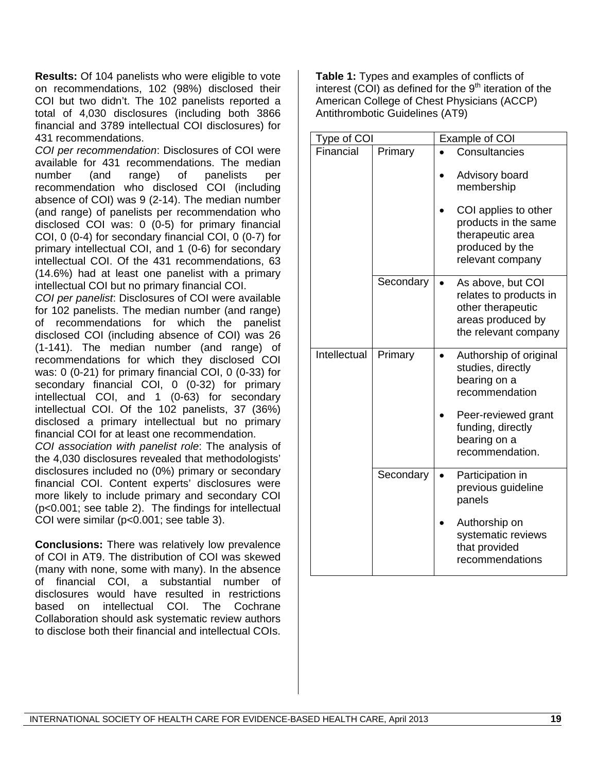**Results:** Of 104 panelists who were eligible to vote on recommendations, 102 (98%) disclosed their COI but two didn't. The 102 panelists reported a total of 4,030 disclosures (including both 3866 financial and 3789 intellectual COI disclosures) for 431 recommendations.

*COI per recommendation*: Disclosures of COI were available for 431 recommendations. The median number (and range) of panelists per recommendation who disclosed COI (including absence of COI) was 9 (2-14). The median number (and range) of panelists per recommendation who disclosed COI was: 0 (0-5) for primary financial COI, 0 (0-4) for secondary financial COI, 0 (0-7) for primary intellectual COI, and 1 (0-6) for secondary intellectual COI. Of the 431 recommendations, 63 (14.6%) had at least one panelist with a primary intellectual COI but no primary financial COI.

*COI per panelist*: Disclosures of COI were available for 102 panelists. The median number (and range) of recommendations for which the panelist disclosed COI (including absence of COI) was 26 (1-141). The median number (and range) of recommendations for which they disclosed COI was: 0 (0-21) for primary financial COI, 0 (0-33) for secondary financial COI, 0 (0-32) for primary intellectual COI, and 1 (0-63) for secondary intellectual COI. Of the 102 panelists, 37 (36%) disclosed a primary intellectual but no primary financial COI for at least one recommendation.

*COI association with panelist role*: The analysis of the 4,030 disclosures revealed that methodologists' disclosures included no (0%) primary or secondary financial COI. Content experts' disclosures were more likely to include primary and secondary COI (p<0.001; see table 2). The findings for intellectual COI were similar (p<0.001; see table 3).

**Conclusions:** There was relatively low prevalence of COI in AT9. The distribution of COI was skewed (many with none, some with many). In the absence of financial COI, a substantial number of disclosures would have resulted in restrictions based on intellectual COI. The Cochrane Collaboration should ask systematic review authors to disclose both their financial and intellectual COIs.

**Table 1:** Types and examples of conflicts of interest (COI) as defined for the  $9<sup>th</sup>$  iteration of the American College of Chest Physicians (ACCP) Antithrombotic Guidelines (AT9)

| Type of COI  |           | Example of COI                                                                                                |
|--------------|-----------|---------------------------------------------------------------------------------------------------------------|
| Financial    | Primary   | Consultancies                                                                                                 |
|              |           | Advisory board<br>membership                                                                                  |
|              |           | COI applies to other<br>products in the same<br>therapeutic area<br>produced by the<br>relevant company       |
|              | Secondary | As above, but COI<br>relates to products in<br>other therapeutic<br>areas produced by<br>the relevant company |
| Intellectual | Primary   | Authorship of original<br>studies, directly<br>bearing on a<br>recommendation                                 |
|              |           | Peer-reviewed grant<br>funding, directly<br>bearing on a<br>recommendation.                                   |
|              | Secondary | Participation in<br>previous guideline<br>panels                                                              |
|              |           | Authorship on<br>systematic reviews<br>that provided<br>recommendations                                       |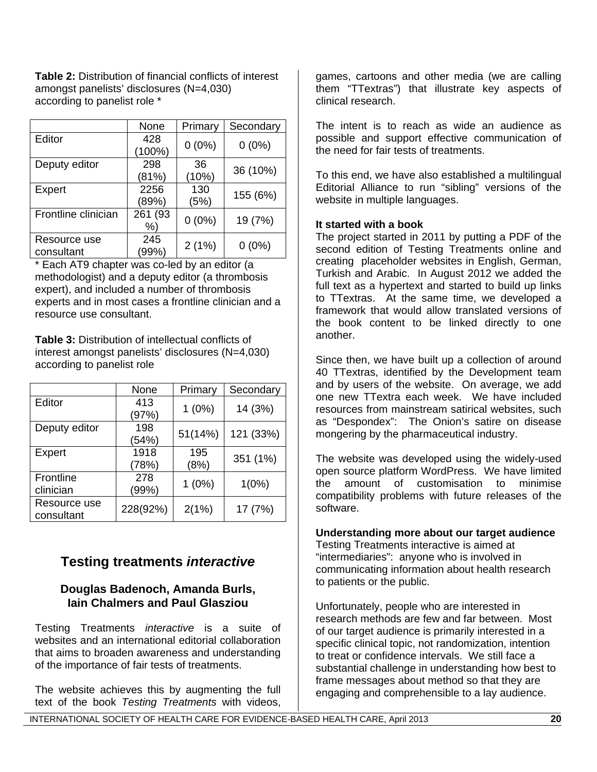**Table 2:** Distribution of financial conflicts of interest amongst panelists' disclosures (N=4,030) according to panelist role \*

|                     | None    | Primary           | Secondary |
|---------------------|---------|-------------------|-----------|
| Editor              | 428     | $0(0\%)$          | $0(0\%)$  |
|                     | (100%)  |                   |           |
| Deputy editor       | 298     | 36                |           |
|                     | (81%)   | (10%)             | 36 (10%)  |
| Expert              | 2256    | 130               |           |
|                     | (89%)   | (5%)              | 155 (6%)  |
| Frontline clinician | 261 (93 |                   |           |
|                     | %       | $0(0\%)$          | 19 (7%)   |
| Resource use        | 245     |                   |           |
| consultant          | (99%)   | 2(1%)<br>$0(0\%)$ |           |

Each AT9 chapter was co-led by an editor (a methodologist) and a deputy editor (a thrombosis expert), and included a number of thrombosis experts and in most cases a frontline clinician and a resource use consultant.

**Table 3:** Distribution of intellectual conflicts of interest amongst panelists' disclosures (N=4,030) according to panelist role

|               | None     | Primary  | Secondary |
|---------------|----------|----------|-----------|
| Editor        | 413      | $1(0\%)$ | 14 (3%)   |
|               | (97%)    |          |           |
| Deputy editor | 198      | 51(14%)  | 121 (33%) |
|               | (54%)    |          |           |
| Expert        | 1918     | 195      | 351 (1%)  |
|               | (78%)    | (8%)     |           |
| Frontline     | 278      | $1(0\%)$ |           |
| clinician     | (99%)    |          | $1(0\%)$  |
| Resource use  | 228(92%) | 2(1%)    | 17 (7%)   |
| consultant    |          |          |           |

# **Testing treatments** *interactive*

## **Douglas Badenoch, Amanda Burls, Iain Chalmers and Paul Glasziou**

Testing Treatments *interactive* is a suite of websites and an international editorial collaboration that aims to broaden awareness and understanding of the importance of fair tests of treatments.

The website achieves this by augmenting the full text of the book *Testing Treatments* with videos,

games, cartoons and other media (we are calling them "TTextras") that illustrate key aspects of clinical research.

The intent is to reach as wide an audience as possible and support effective communication of the need for fair tests of treatments.

To this end, we have also established a multilingual Editorial Alliance to run "sibling" versions of the website in multiple languages.

## **It started with a book**

The project started in 2011 by putting a PDF of the second edition of Testing Treatments online and creating placeholder websites in English, German, Turkish and Arabic. In August 2012 we added the full text as a hypertext and started to build up links to TTextras. At the same time, we developed a framework that would allow translated versions of the book content to be linked directly to one another.

Since then, we have built up a collection of around 40 TTextras, identified by the Development team and by users of the website. On average, we add one new TTextra each week. We have included resources from mainstream satirical websites, such as "Despondex": The Onion's satire on disease mongering by the pharmaceutical industry.

The website was developed using the widely-used open source platform WordPress. We have limited the amount of customisation to minimise compatibility problems with future releases of the software.

## **Understanding more about our target audience**

Testing Treatments interactive is aimed at "intermediaries": anyone who is involved in communicating information about health research to patients or the public.

Unfortunately, people who are interested in research methods are few and far between. Most of our target audience is primarily interested in a specific clinical topic, not randomization, intention to treat or confidence intervals. We still face a substantial challenge in understanding how best to frame messages about method so that they are engaging and comprehensible to a lay audience.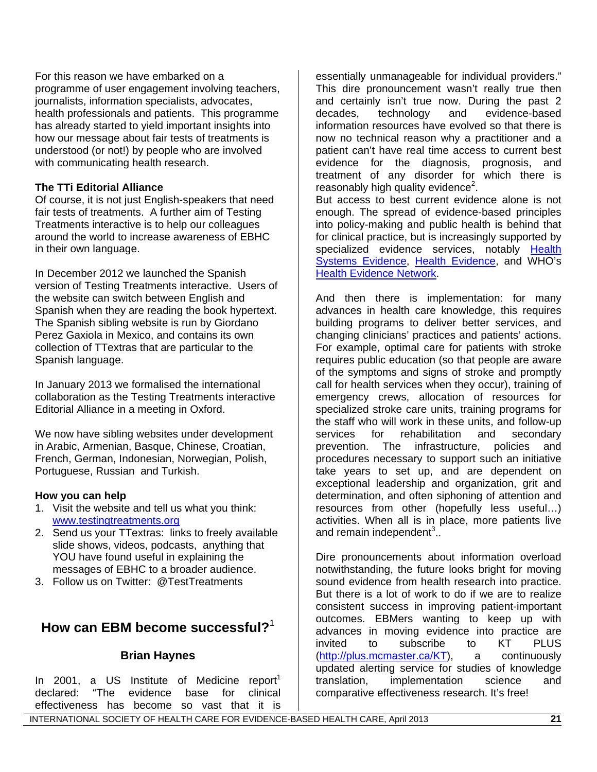For this reason we have embarked on a programme of user engagement involving teachers, journalists, information specialists, advocates, health professionals and patients. This programme has already started to yield important insights into how our message about fair tests of treatments is understood (or not!) by people who are involved with communicating health research.

## **The TTi Editorial Alliance**

Of course, it is not just English-speakers that need fair tests of treatments. A further aim of Testing Treatments interactive is to help our colleagues around the world to increase awareness of EBHC in their own language.

In December 2012 we launched the Spanish version of Testing Treatments interactive. Users of the website can switch between English and Spanish when they are reading the book hypertext. The Spanish sibling website is run by Giordano Perez Gaxiola in Mexico, and contains its own collection of TTextras that are particular to the Spanish language.

In January 2013 we formalised the international collaboration as the Testing Treatments interactive Editorial Alliance in a meeting in Oxford.

We now have sibling websites under development in Arabic, Armenian, Basque, Chinese, Croatian, French, German, Indonesian, Norwegian, Polish, Portuguese, Russian and Turkish.

## **How you can help**

- 1. Visit the website and tell us what you think: [www.testingtreatments.org](http://www.testingtreatments.org/)
- 2. Send us your TTextras: links to freely available slide shows, videos, podcasts, anything that YOU have found useful in explaining the messages of EBHC to a broader audience.
- 3. Follow us on Twitter: @TestTreatments

# **How can EBM become successful?**<sup>1</sup>

# **Brian Haynes**

In 2001, a US Institute of Medicine report<sup>1</sup> declared: "The evidence base for clinical effectiveness has become so vast that it is

essentially unmanageable for individual providers." This dire pronouncement wasn't really true then and certainly isn't true now. During the past 2<br>decades, technology and evidence-based decades, technology and evidence-based information resources have evolved so that there is now no technical reason why a practitioner and a patient can't have real time access to current best evidence for the diagnosis, prognosis, and treatment of any disorder for which there is reasonably high quality evidence $2$ .

But access to best current evidence alone is not enough. The spread of evidence-based principles into policy-making and public health is behind that for clinical practice, but is increasingly supported by specialized evidence services, notably Health [Systems Evidence](http://www.mcmasterhealthforum.org/healthsystemsevidence-en), [Health Evidence](http://health-evidence.ca/), and WHO's **[Health Evidence Network](http://www.euro.who.int/en/what-we-do/data-and-evidence/health-evidence-network-hen).** 

And then there is implementation: for many advances in health care knowledge, this requires building programs to deliver better services, and changing clinicians' practices and patients' actions. For example, optimal care for patients with stroke requires public education (so that people are aware of the symptoms and signs of stroke and promptly call for health services when they occur), training of emergency crews, allocation of resources for specialized stroke care units, training programs for the staff who will work in these units, and follow-up services for rehabilitation and secondary prevention. The infrastructure, policies and procedures necessary to support such an initiative take years to set up, and are dependent on exceptional leadership and organization, grit and determination, and often siphoning of attention and resources from other (hopefully less useful…) activities. When all is in place, more patients live and remain independent $3$ ..

Dire pronouncements about information overload notwithstanding, the future looks bright for moving sound evidence from health research into practice. But there is a lot of work to do if we are to realize consistent success in improving patient-important outcomes. EBMers wanting to keep up with advances in moving evidence into practice are<br>invited to subscribe to KT PLUS invited to subscribe to (<http://plus.mcmaster.ca/KT>), a continuously updated alerting service for studies of knowledge translation, implementation science and comparative effectiveness research. It's free!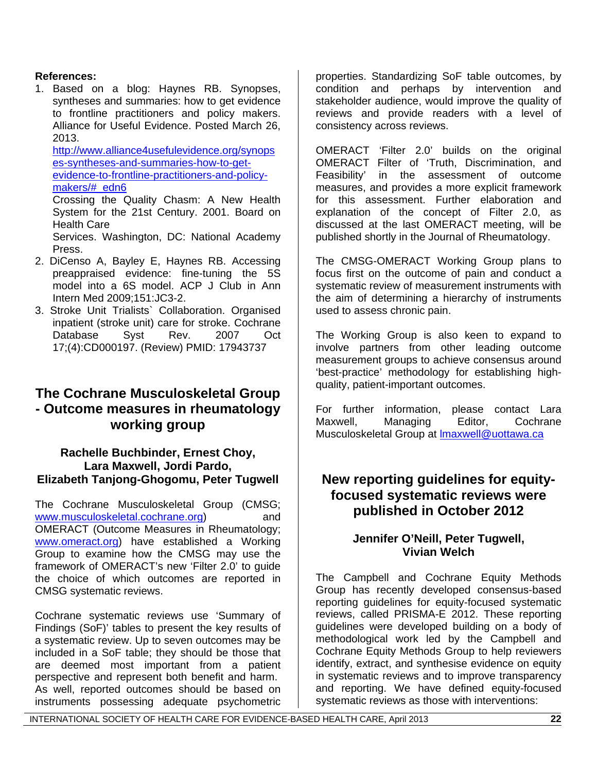## **References:**

1. Based on a blog: Haynes RB. Synopses, syntheses and summaries: how to get evidence to frontline practitioners and policy makers. Alliance for Useful Evidence. Posted March 26, 2013.

[http://www.alliance4usefulevidence.org/synops](http://www.alliance4usefulevidence.org/synopses-syntheses-and-summaries-how-to-get-evidence-to-frontline-practitioners-and-policy-makers/#_edn6) [es-syntheses-and-summaries-how-to-get](http://www.alliance4usefulevidence.org/synopses-syntheses-and-summaries-how-to-get-evidence-to-frontline-practitioners-and-policy-makers/#_edn6)[evidence-to-frontline-practitioners-and-policy](http://www.alliance4usefulevidence.org/synopses-syntheses-and-summaries-how-to-get-evidence-to-frontline-practitioners-and-policy-makers/#_edn6)[makers/#\\_edn6](http://www.alliance4usefulevidence.org/synopses-syntheses-and-summaries-how-to-get-evidence-to-frontline-practitioners-and-policy-makers/#_edn6) 

Crossing the Quality Chasm: A New Health System for the 21st Century. 2001. Board on Health Care

Services. Washington, DC: National Academy Press.

- 2. DiCenso A, Bayley E, Haynes RB. Accessing preappraised evidence: fine-tuning the 5S model into a 6S model. ACP J Club in Ann Intern Med 2009;151:JC3-2.
- 3. Stroke Unit Trialists` Collaboration. Organised inpatient (stroke unit) care for stroke. Cochrane Database Syst Rev. 2007 Oct 17;(4):CD000197. (Review) PMID: 17943737

# **The Cochrane Musculoskeletal Group - Outcome measures in rheumatology working group**

## **Rachelle Buchbinder, Ernest Choy, Lara Maxwell, Jordi Pardo, Elizabeth Tanjong-Ghogomu, Peter Tugwell**

The Cochrane Musculoskeletal Group (CMSG; [www.musculoskeletal.cochrane.org](http://www.musculoskeletal.cochrane.org/)) and OMERACT (Outcome Measures in Rheumatology; [www.omeract.org\)](http://www.omeract.org/) have established a Working Group to examine how the CMSG may use the framework of OMERACT's new 'Filter 2.0' to guide the choice of which outcomes are reported in CMSG systematic reviews.

Cochrane systematic reviews use 'Summary of Findings (SoF)' tables to present the key results of a systematic review. Up to seven outcomes may be included in a SoF table; they should be those that are deemed most important from a patient perspective and represent both benefit and harm. As well, reported outcomes should be based on instruments possessing adequate psychometric

properties. Standardizing SoF table outcomes, by condition and perhaps by intervention and stakeholder audience, would improve the quality of reviews and provide readers with a level of consistency across reviews.

OMERACT 'Filter 2.0' builds on the original OMERACT Filter of 'Truth, Discrimination, and Feasibility' in the assessment of outcome measures, and provides a more explicit framework for this assessment. Further elaboration and explanation of the concept of Filter 2.0, as discussed at the last OMERACT meeting, will be published shortly in the Journal of Rheumatology.

The CMSG-OMERACT Working Group plans to focus first on the outcome of pain and conduct a systematic review of measurement instruments with the aim of determining a hierarchy of instruments used to assess chronic pain.

The Working Group is also keen to expand to involve partners from other leading outcome measurement groups to achieve consensus around 'best-practice' methodology for establishing highquality, patient-important outcomes.

For further information, please contact Lara Maxwell, Managing Editor, Cochrane Musculoskeletal Group at [lmaxwell@uottawa.ca](mailto:lmaxwell@uottawa.ca)

# **New reporting guidelines for equityfocused systematic reviews were published in October 2012**

## **Jennifer O'Neill, Peter Tugwell, Vivian Welch**

The Campbell and Cochrane Equity Methods Group has recently developed consensus-based reporting guidelines for equity-focused systematic reviews, called PRISMA-E 2012. These reporting guidelines were developed building on a body of methodological work led by the Campbell and Cochrane Equity Methods Group to help reviewers identify, extract, and synthesise evidence on equity in systematic reviews and to improve transparency and reporting. We have defined equity-focused systematic reviews as those with interventions: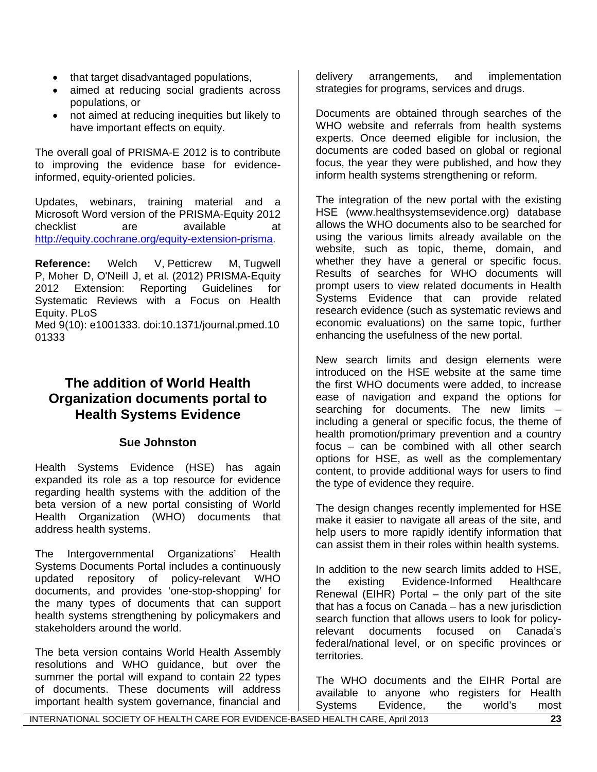- that target disadvantaged populations,
- aimed at reducing social gradients across populations, or
- not aimed at reducing inequities but likely to have important effects on equity.

The overall goal of PRISMA-E 2012 is to contribute to improving the evidence base for evidenceinformed, equity-oriented policies.

Updates, webinars, training material and a Microsoft Word version of the PRISMA-Equity 2012 checklist are available at [http://equity.cochrane.org/equity-extension-prisma.](http://equity.cochrane.org/equity-extension-prisma)

**Reference:** Welch V, Petticrew M, Tugwell P, Moher D, O'Neill J, et al. (2012) PRISMA-Equity 2012 Extension: Reporting Guidelines for Systematic Reviews with a Focus on Health Equity. PLoS

Med 9(10): e1001333. doi:10.1371/journal.pmed.10 01333

# **The addition of World Health Organization documents portal to Health Systems Evidence**

# **Sue Johnston**

Health Systems Evidence (HSE) has again expanded its role as a top resource for evidence regarding health systems with the addition of the beta version of a new portal consisting of World Health Organization (WHO) documents that address health systems.

The Intergovernmental Organizations' Health Systems Documents Portal includes a continuously updated repository of policy-relevant WHO documents, and provides 'one-stop-shopping' for the many types of documents that can support health systems strengthening by policymakers and stakeholders around the world.

The beta version contains World Health Assembly resolutions and WHO guidance, but over the summer the portal will expand to contain 22 types of documents. These documents will address important health system governance, financial and

delivery arrangements, and implementation strategies for programs, services and drugs.

Documents are obtained through searches of the WHO website and referrals from health systems experts. Once deemed eligible for inclusion, the documents are coded based on global or regional focus, the year they were published, and how they inform health systems strengthening or reform.

The integration of the new portal with the existing HSE (www.healthsystemsevidence.org) database allows the WHO documents also to be searched for using the various limits already available on the website, such as topic, theme, domain, and whether they have a general or specific focus. Results of searches for WHO documents will prompt users to view related documents in Health Systems Evidence that can provide related research evidence (such as systematic reviews and economic evaluations) on the same topic, further enhancing the usefulness of the new portal.

New search limits and design elements were introduced on the HSE website at the same time the first WHO documents were added, to increase ease of navigation and expand the options for searching for documents. The new limits – including a general or specific focus, the theme of health promotion/primary prevention and a country focus – can be combined with all other search options for HSE, as well as the complementary content, to provide additional ways for users to find the type of evidence they require.

The design changes recently implemented for HSE make it easier to navigate all areas of the site, and help users to more rapidly identify information that can assist them in their roles within health systems.

In addition to the new search limits added to HSE, the existing Evidence-Informed Healthcare Renewal (EIHR) Portal – the only part of the site that has a focus on Canada – has a new jurisdiction search function that allows users to look for policyrelevant documents focused on Canada's federal/national level, or on specific provinces or territories.

The WHO documents and the EIHR Portal are available to anyone who registers for Health Systems Evidence, the world's most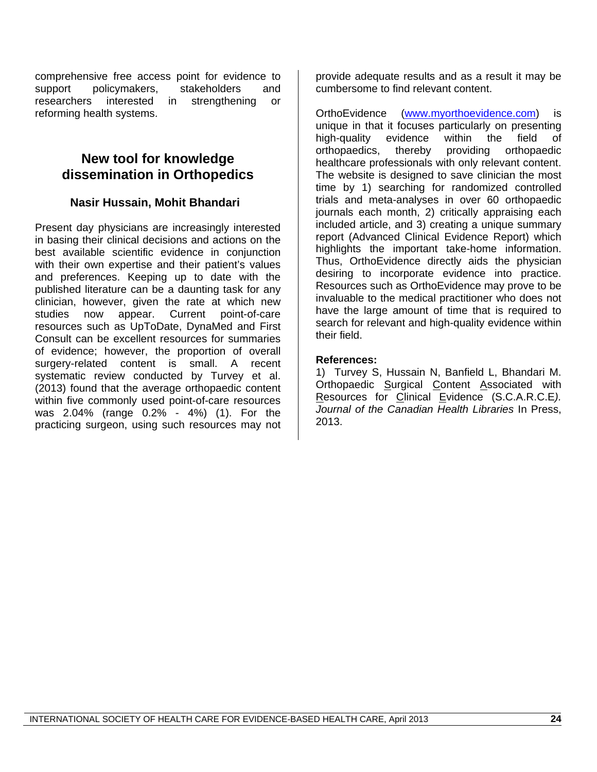comprehensive free access point for evidence to support policymakers, stakeholders and researchers interested in strengthening or reforming health systems.

# **New tool for knowledge dissemination in Orthopedics**

# **Nasir Hussain, Mohit Bhandari**

Present day physicians are increasingly interested in basing their clinical decisions and actions on the best available scientific evidence in conjunction with their own expertise and their patient's values and preferences. Keeping up to date with the published literature can be a daunting task for any clinician, however, given the rate at which new studies now appear. Current point-of-care resources such as UpToDate, DynaMed and First Consult can be excellent resources for summaries of evidence; however, the proportion of overall surgery-related content is small. A recent systematic review conducted by Turvey et al. (2013) found that the average orthopaedic content within five commonly used point-of-care resources was 2.04% (range 0.2% - 4%) (1). For the practicing surgeon, using such resources may not provide adequate results and as a result it may be cumbersome to find relevant content.

OrthoEvidence [\(www.myorthoevidence.com\)](http://www.myorthoevidence.com/) is unique in that it focuses particularly on presenting high-quality evidence within the field of orthopaedics, thereby providing orthopaedic healthcare professionals with only relevant content. The website is designed to save clinician the most time by 1) searching for randomized controlled trials and meta-analyses in over 60 orthopaedic journals each month, 2) critically appraising each included article, and 3) creating a unique summary report (Advanced Clinical Evidence Report) which highlights the important take-home information. Thus, OrthoEvidence directly aids the physician desiring to incorporate evidence into practice. Resources such as OrthoEvidence may prove to be invaluable to the medical practitioner who does not have the large amount of time that is required to search for relevant and high-quality evidence within their field.

## **References:**

1) Turvey S, Hussain N, Banfield L, Bhandari M. Orthopaedic Surgical Content Associated with Resources for Clinical Evidence (S.C.A.R.C.E*). Journal of the Canadian Health Libraries* In Press, 2013.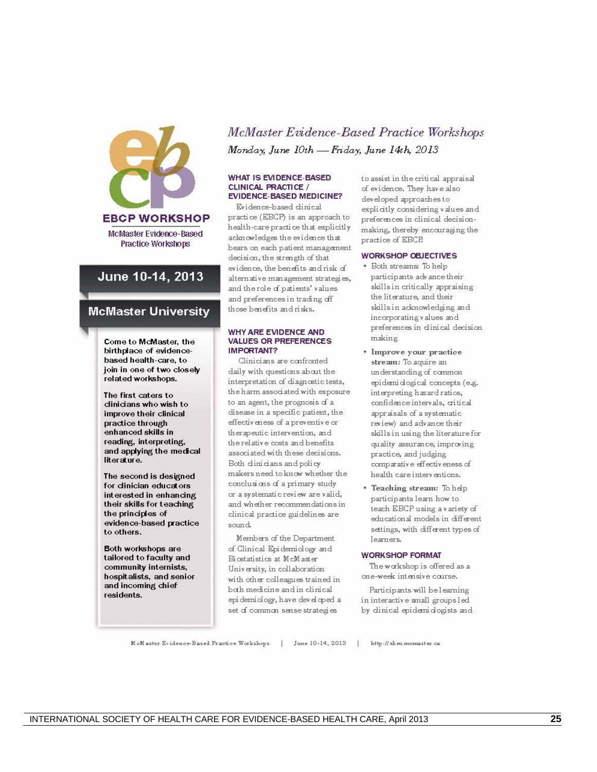

## June 10-14, 2013

#### **McMaster University**

Come to McMaster, the birthplace of evidencebased health-care, to join in one of two closely related workshops.

The first caters to dinicians who wish to improve their clinical practice through enhanced skills in reading, interpreting, and applying the medical literature.

The second is designed for clinician educators interested in enhancing their skills for teaching the principles of evidence-based practice to others.

Both workshops are tailored to faculty and community internists, hospitalists, and senior and incoming chief residents.

# McMaster Evidence-Based Practice Workshops Monday, June 10th - Friday, June 14th, 2013

#### **WHAT IS EVIDENCE-BASED** CLINICAL PRACTICE / **EVIDENCE-BASED MEDICINE?**

Evidence-based dinical practice (EBCP) is an approach to health-care practice that explicitly acknowledges the evidence that bears on each patient management decision, the strength of that evidence, the benefits and risk of alternative management strategies, and the role of patients' values and preferences in trading off those benefits and risks.

#### WHY ARE EVIDENCE AND **VALUES OR PREFERENCES IMPORTANT?**

Clinicians are confronted daily with questions about the interpretation of diagnostic tests, the harm associated with exposure to an agent, the prognosis of a disease in a specific patient, the effectiveness of a preventive or therapeutic intervention, and the relative costs and benefits associated with these decisions. Both dinicians and policy makers need to know whether the conclusions of a primary study or a systematic review are valid, and whether recommendations in clinical practice guidelines are sound.

Members of the Department of Clinical Epidemiology and Biostatistics at McMaster University, in collaboration with other colleagues trained in both medicine and in clinical epidemiology, have developed a set of common sense strategies

to assist in the critical appraisal of evidence. They have also developed approaches to explicitly considering values and preferences in clinical decisionmaking, thereby encouraging the practice of EBCP.

#### **WORKSHOP OBJECTIVES**

- Both streams: To help participants advance their skills in critically appraising the literature, and their skills in adknowledging and incorporating values and preferences in dinical decision making
- \* Improve your practice stream: To aquire an understanding of common epidemi dogical concepts (e.g. interpreting hazard ratios, confidence intervals, critical appraisals of a systematic review) and advance their skills in using the literature for quality assurance, improving practice, and judging comparative effectiveness of health care interventions.
- \* Teaching stream: To help participants learn how to teach EBCP using a variety of educational models in different settings, with different types of learners.

#### **WORKSHOP FORMAT**

The workshop is offered as a one-week intensive course.

Participants will be learning in interactive small groups led by dinical epidemidogists and

McMaster Evidence-Based Practice Workshops | June 10-14, 2013 | http://ebm.mcmaster.ca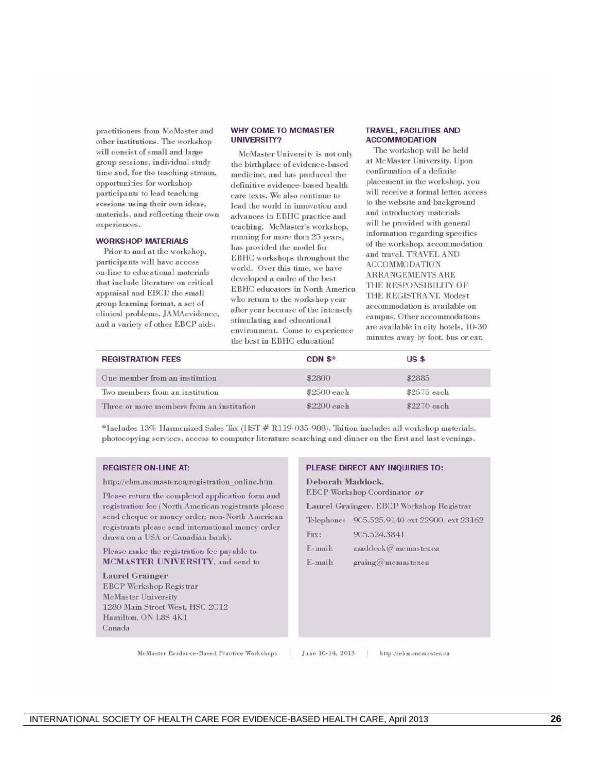practitioners from McMaster and other institutions. The workshop will consist of small and large group sessions, individual study time and, for the teaching stream, opportunities for workshop participants to lead teaching sessions using their own ideas, materials, and reflecting their own experiences.

#### **WORKSHOP MATERIALS**

Prior to and at the workshop, participants will have access on-line to educational materials that include literature on critical appraisal and EBCP, the small group learning format, a set of clinical problems, JAMAevidence, and a variety of other EBCP aids.

#### **WHY COME TO MCMASTER UNIVERSITY?**

McMaster University is not only the birthplace of evidence-based medicine, and has produced the definitive evidence-based health care texts. We also continue to lead the world in innovation and advances in EBHC practice and teaching. McMaster's workshop, running for more than 25 years, has provided the model for EBHC workshops throughout the world. Over this time, we have developed a cadre of the best EBHC educators in North America who return to the workshop year after year because of the intensely stimulating and educational environment. Come to experience the best in EBHC education!

#### **TRAVEL, FACILITIES AND ACCOMMODATION**

The workshop will be held at McMaster University. Upon confirmation of a definite placement in the workshop, you will receive a formal letter, access to the website and background and introductory materials will be provided with general information regarding specifics of the workshop, accommodation and travel. TRAVEL AND **ACCOMMODATION** ARRANGEMENTS ARE THE RESPONSIBILITY OF THE REGISTRANT. Modest accommodation is available on campus. Other accommodations are available in city hotels, 10-30 minutes away by foot, bus or car.

| <b>REGISTRATION FEES</b>                  | CDN $$*$    | US <sub>s</sub> |  |
|-------------------------------------------|-------------|-----------------|--|
| One member from an institution            | \$2800      | \$2885          |  |
| Two members from an institution           | \$2500 each | \$2575 each     |  |
| Three or more members from an institution | \$2200 each | \$2270 each     |  |

\*Includes 13% Harmonized Sales Tax (HST # R119-035-988). Tuition includes all workshop materials, photocopying services, access to computer literature searching and dinner on the first and last evenings.

#### **REGISTER ON-LINE AT:**

http://ebm.mcmaster.ca/registration online.htm

Please return the completed application form and registration fee (North American registrants please send cheque or money order; non-North American registrants please send international money order drawn on a USA or Canadian bank).

#### Please make the registration fee payable to **MCMASTER UNIVERSITY**, and send to

**Laurel Grainger EBCP Workshop Registrar** McMaster University 1280 Main Street West, HSC 2C12 Hamilton, ON L8S 4K1 Canada

#### PLEASE DIRECT ANY INQUIRIES TO:

Deborah Maddock, EBCP Workshop Coordinator or Laurel Grainger, EBCP Workshop Registrar Telephone: 905.525.9140 ext 22900, ext 23162 Fax: 905.524.3841 E-mail:  $maddock@$ memaster.ca E-mail:  $graing@$ mcmaster.ca

McMaster Evidence-Based Practice Workshops

June 10-14, 2013

http://ebm.momaster.ca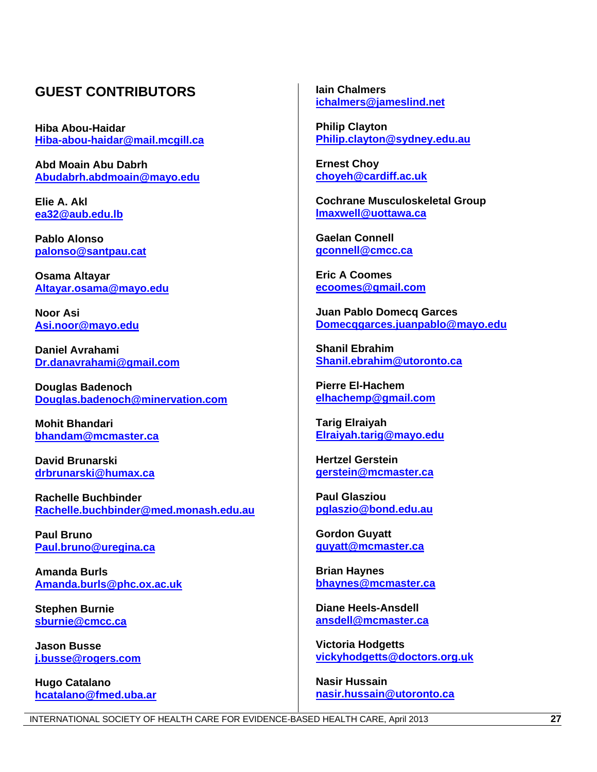# **GUEST CONTRIBUTORS**

**Hiba Abou-Haidar [Hiba-abou-haidar@mail.mcgill.ca](mailto:Hiba-abou-haidar@mail.mcgill.ca)**

**Abd Moain Abu Dabrh [Abudabrh.abdmoain@mayo.edu](mailto:Abudabrh.abdmoain@mayo.edu)**

**Elie A. Akl [ea32@aub.edu.lb](mailto:ea32@aub.edu.lb)**

**Pablo Alonso [palonso@santpau.cat](mailto:palonso@santpau.cat)**

**Osama Altayar [Altayar.osama@mayo.edu](mailto:Altayar.osama@mayo.edu)**

**Noor Asi [Asi.noor@mayo.edu](mailto:Asi.noor@mayo.edu)**

**Daniel Avrahami [Dr.danavrahami@gmail.com](mailto:Dr.danavrahami@gmail.com)**

**Douglas Badenoch [Douglas.badenoch@minervation.com](mailto:Douglas.badenoch@minervation.com)** 

**Mohit Bhandari [bhandam@mcmaster.ca](mailto:bhandam@mcmaster.ca)** 

**David Brunarski [drbrunarski@humax.ca](mailto:drbrunarski@humax.ca)**

**Rachelle Buchbinder [Rachelle.buchbinder@med.monash.edu.au](mailto:Rachelle.buchbinder@med.monash.edu.au)** 

**Paul Bruno [Paul.bruno@uregina.ca](mailto:Paul.bruno@uregina.ca)**

**Amanda Burls [Amanda.burls@phc.ox.ac.uk](mailto:Amanda.burls@phc.ox.ac.uk)**

**Stephen Burnie [sburnie@cmcc.ca](mailto:sburnie@cmcc.ca)**

**Jason Busse [j.busse@rogers.com](mailto:j.busse@rogers.com)**

**Hugo Catalano [hcatalano@fmed.uba.ar](mailto:hcatalano@fmed.uba.ar)** **Iain Chalmers [ichalmers@jameslind.net](mailto:ichalmers@jameslind.net)** 

**Philip Clayton [Philip.clayton@sydney.edu.au](mailto:Philip.clayton@sydney.edu.au)**

**Ernest Choy [choyeh@cardiff.ac.uk](mailto:choyeh@cardiff.ac.uk)** 

**Cochrane Musculoskeletal Group [lmaxwell@uottawa.ca](mailto:lmaxwell@uottawa.ca)**

**Gaelan Connell [gconnell@cmcc.ca](mailto:gconnell@cmcc.ca)**

**Eric A Coomes [ecoomes@gmail.com](mailto:ecoomes@gmail.com)**

**Juan Pablo Domecq Garces [Domecqgarces.juanpablo@mayo.edu](mailto:Domecqgarces.juanpablo@mayo.edu)**

**Shanil Ebrahim [Shanil.ebrahim@utoronto.ca](mailto:Shanil.ebrahim@utoronto.ca)**

**Pierre El-Hachem [elhachemp@gmail.com](mailto:elhachemp@gmail.com)**

**Tarig Elraiyah [Elraiyah.tarig@mayo.edu](mailto:Elraiyah.tarig@mayo.edu)**

**Hertzel Gerstein [gerstein@mcmaster.ca](mailto:gerstein@mcmaster.ca)** 

**Paul Glasziou [pglaszio@bond.edu.au](mailto:pglaszio@bond.edu.au)**

**Gordon Guyatt [guyatt@mcmaster.ca](mailto:guyatt@mcmaster.ca)**

**Brian Haynes [bhaynes@mcmaster.ca](mailto:bhaynes@mcmaster.ca)**

**Diane Heels-Ansdell [ansdell@mcmaster.ca](mailto:ansdell@mcmaster.ca)**

**Victoria Hodgetts [vickyhodgetts@doctors.org.uk](mailto:vickyhodgetts@doctors.org.uk)**

**Nasir Hussain [nasir.hussain@utoronto.ca](mailto:nasir.hussain@utoronto.ca)**

INTERNATIONAL SOCIETY OF HEALTH CARE FOR EVIDENCE-BASED HEALTH CARE, April 2013 **27**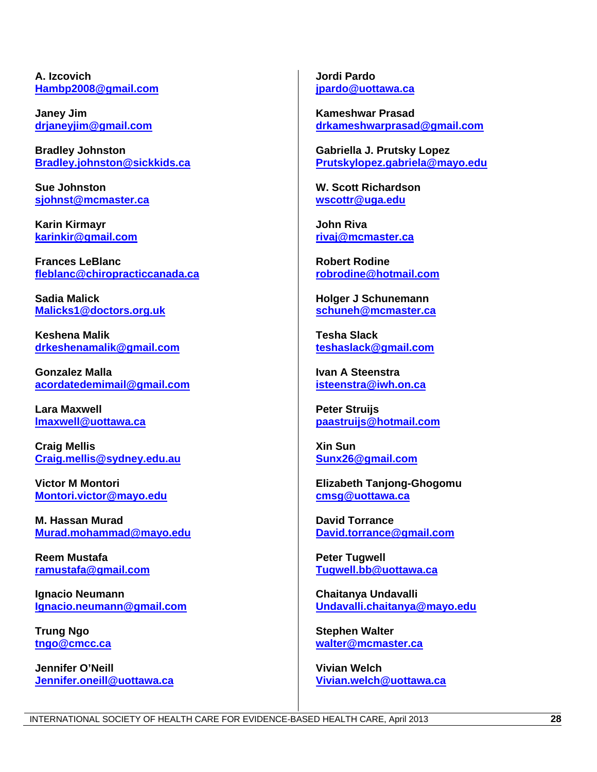**A. Izcovich [Hambp2008@gmail.com](mailto:Hambp2008@gmail.com)**

**Janey Jim [drjaneyjim@gmail.com](mailto:drjaneyjim@gmail.com)** 

**Bradley Johnston [Bradley.johnston@sickkids.ca](mailto:Bradley.johnston@sickkids.ca)**

**Sue Johnston [sjohnst@mcmaster.ca](mailto:sjohnst@mcmaster.ca)**

**Karin Kirmayr [karinkir@gmail.com](mailto:karinkir@gmail.com)**

**Frances LeBlanc [fleblanc@chiropracticcanada.ca](mailto:fleblanc@chiropracticcanada.ca)**

**Sadia Malick [Malicks1@doctors.org.uk](mailto:Malicks1@doctors.org.uk)**

**Keshena Malik [drkeshenamalik@gmail.com](mailto:drkeshenamalik@gmail.com)**

**Gonzalez Malla [acordatedemimail@gmail.com](mailto:acordatedemimail@gmail.com)**

**Lara Maxwell [lmaxwell@uottawa.ca](mailto:lmaxwell@uottawa.ca)** 

**Craig Mellis [Craig.mellis@sydney.edu.au](mailto:Craig.mellis@sydney.edu.au)**

**Victor M Montori [Montori.victor@mayo.edu](mailto:Montori.victor@mayo.edu)**

**M. Hassan Murad [Murad.mohammad@mayo.edu](mailto:Murad.mohammad@mayo.edu)**

**Reem Mustafa [ramustafa@gmail.com](mailto:ramustafa@gmail.com)**

**Ignacio Neumann [Ignacio.neumann@gmail.com](mailto:Ignacio.neumann@gmail.com)**

**Trung Ngo [tngo@cmcc.ca](mailto:tngo@cmcc.ca)**

**Jennifer O'Neill [Jennifer.oneill@uottawa.ca](mailto:Jennifer.oneill@uottawa.ca)**  **Jordi Pardo [jpardo@uottawa.ca](mailto:jpardo@uottawa.ca)** 

**Kameshwar Prasad [drkameshwarprasad@gmail.com](mailto:drkameshwarprasad@gmail.com)**

**Gabriella J. Prutsky Lopez [Prutskylopez.gabriela@mayo.edu](mailto:Prutskylopez.gabriela@mayo.edu)**

**W. Scott Richardson [wscottr@uga.edu](mailto:wscottr@uga.edu)**

**John Riva [rivaj@mcmaster.ca](mailto:rivaj@mcmaster.ca)**

**Robert Rodine [robrodine@hotmail.com](mailto:robrodine@hotmail.com)** 

**Holger J Schunemann [schuneh@mcmaster.ca](mailto:schuneh@mcmaster.ca)**

**Tesha Slack [teshaslack@gmail.com](mailto:teshaslack@gmail.com)**

**Ivan A Steenstra [isteenstra@iwh.on.ca](mailto:isteenstra@iwh.on.ca)**

**Peter Struijs [paastruijs@hotmail.com](mailto:paastruijs@hotmail.com)**

**Xin Sun [Sunx26@gmail.com](mailto:Sunx26@gmail.com)**

**Elizabeth Tanjong-Ghogomu [cmsg@uottawa.ca](mailto:cmsg@uottawa.ca)** 

**David Torrance [David.torrance@gmail.com](mailto:David.torrance@gmail.com)**

**Peter Tugwell [Tugwell.bb@uottawa.ca](mailto:Tugwell.bb@uottawa.ca)** 

**Chaitanya Undavalli [Undavalli.chaitanya@mayo.edu](mailto:Undavalli.chaitanya@mayo.edu)**

**Stephen Walter [walter@mcmaster.ca](mailto:walter@mcmaster.ca)**

**Vivian Welch [Vivian.welch@uottawa.ca](mailto:Vivian.welch@uottawa.ca)**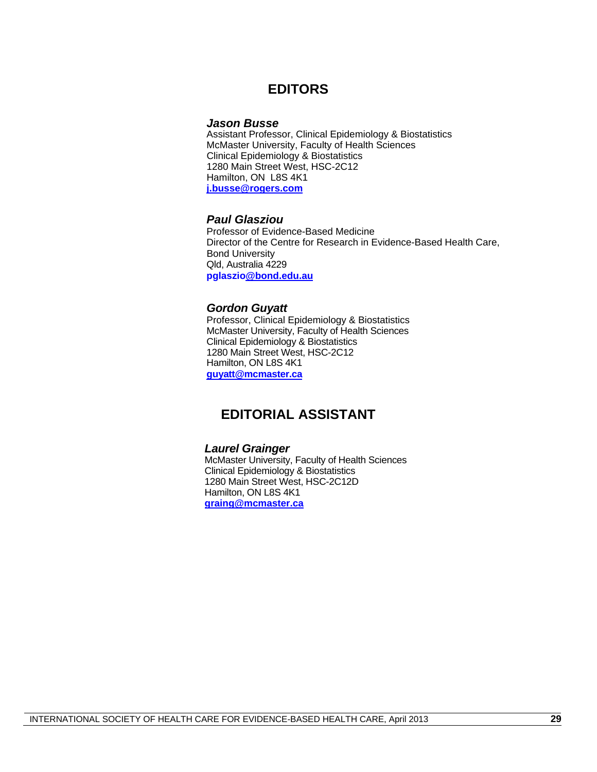# **EDITORS**

#### *Jason Busse*

Assistant Professor, Clinical Epidemiology & Biostatistics McMaster University, Faculty of Health Sciences Clinical Epidemiology & Biostatistics 1280 Main Street West, HSC-2C12 Hamilton, ON L8S 4K1 **[j.busse@rogers.com](mailto:j.busse@rogers.com)**

#### *Paul Glasziou*

Professor of Evidence-Based Medicine Director of the Centre for Research in Evidence-Based Health Care, Bond University Qld, Australia 4229 **pglaszi[o@bond.edu.au](mailto:Paul_Glasziou@bond.edu.au)**

#### *Gordon Guyatt*

Professor, Clinical Epidemiology & Biostatistics McMaster University, Faculty of Health Sciences Clinical Epidemiology & Biostatistics 1280 Main Street West, HSC-2C12 Hamilton, ON L8S 4K1 **[guyatt@mcmaster.ca](mailto:guyatt@mcmaster.ca)**

# **EDITORIAL ASSISTANT**

#### *Laurel Grainger*

McMaster University, Faculty of Health Sciences Clinical Epidemiology & Biostatistics 1280 Main Street West, HSC-2C12D Hamilton, ON L8S 4K1 **[graing@mcmaster.ca](mailto:graing@mcmaster.ca)**